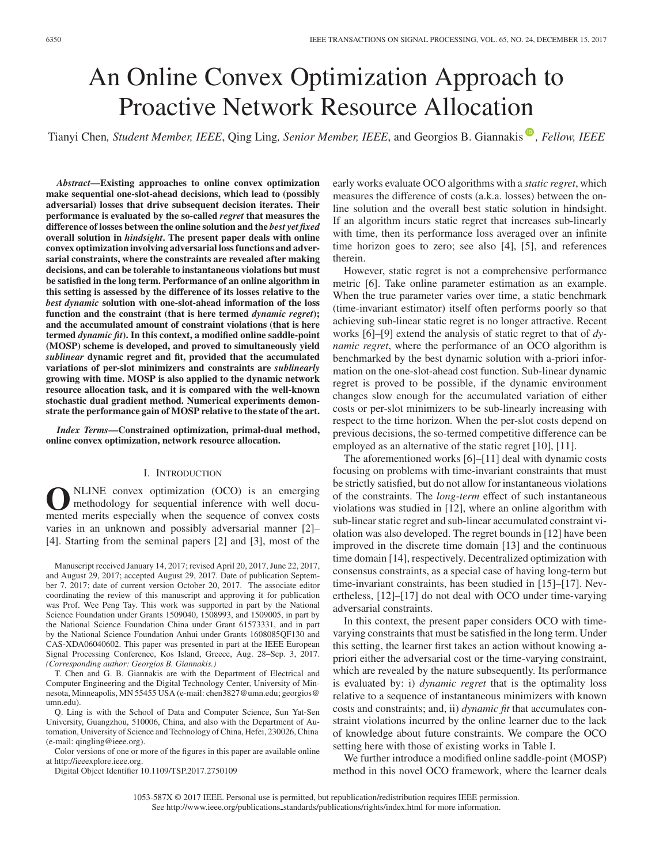# An Online Convex Optimization Approach to Proactive Network Resource Allocation

Tianyi Chen[,](https://orcid.org/0000-0001-8264-6056) Student Member, IEEE, Qing Ling, Senior Member, IEEE, and Georgios B. Giannakis<sup>®</sup>, Fellow, IEEE

*Abstract***—Existing approaches to online convex optimization make sequential one-slot-ahead decisions, which lead to (possibly adversarial) losses that drive subsequent decision iterates. Their performance is evaluated by the so-called** *regret* **that measures the difference of losses between the online solution and the** *best yet fixed* **overall solution in** *hindsight***. The present paper deals with online convex optimization involving adversarial loss functions and adversarial constraints, where the constraints are revealed after making decisions, and can be tolerable to instantaneous violations but must be satisfied in the long term. Performance of an online algorithm in this setting is assessed by the difference of its losses relative to the** *best dynamic* **solution with one-slot-ahead information of the loss function and the constraint (that is here termed** *dynamic regret***); and the accumulated amount of constraint violations (that is here termed** *dynamic fit***). In this context, a modified online saddle-point (MOSP) scheme is developed, and proved to simultaneously yield** *sublinear* **dynamic regret and fit, provided that the accumulated variations of per-slot minimizers and constraints are** *sublinearly* **growing with time. MOSP is also applied to the dynamic network resource allocation task, and it is compared with the well-known stochastic dual gradient method. Numerical experiments demonstrate the performance gain of MOSP relative to the state of the art.**

*Index Terms***—Constrained optimization, primal-dual method, online convex optimization, network resource allocation.**

# I. INTRODUCTION

**O**NLINE convex optimization (OCO) is an emerging<br>methodology for sequential inference with well docu-<br>mented merits especially when the sequence of convex costs mented merits especially when the sequence of convex costs varies in an unknown and possibly adversarial manner [2]– [4]. Starting from the seminal papers [2] and [3], most of the

Manuscript received January 14, 2017; revised April 20, 2017, June 22, 2017, and August 29, 2017; accepted August 29, 2017. Date of publication September 7, 2017; date of current version October 20, 2017. The associate editor coordinating the review of this manuscript and approving it for publication was Prof. Wee Peng Tay. This work was supported in part by the National Science Foundation under Grants 1509040, 1508993, and 1509005, in part by the National Science Foundation China under Grant 61573331, and in part by the National Science Foundation Anhui under Grants 1608085QF130 and CAS-XDA06040602. This paper was presented in part at the IEEE European Signal Processing Conference, Kos Island, Greece, Aug. 28–Sep. 3, 2017. *(Corresponding author: Georgios B. Giannakis.)*

T. Chen and G. B. Giannakis are with the Department of Electrical and Computer Engineering and the Digital Technology Center, University of Minnesota, Minneapolis, MN 55455 USA (e-mail: chen3827@umn.edu; georgios@ umn.edu).

Q. Ling is with the School of Data and Computer Science, Sun Yat-Sen University, Guangzhou, 510006, China, and also with the Department of Automation, University of Science and Technology of China, Hefei, 230026, China (e-mail: qingling@ieee.org).

Color versions of one or more of the figures in this paper are available online at http://ieeexplore.ieee.org.

Digital Object Identifier 10.1109/TSP.2017.2750109

early works evaluate OCO algorithms with a *static regret*, which measures the difference of costs (a.k.a. losses) between the online solution and the overall best static solution in hindsight. If an algorithm incurs static regret that increases sub-linearly with time, then its performance loss averaged over an infinite time horizon goes to zero; see also [4], [5], and references therein.

However, static regret is not a comprehensive performance metric [6]. Take online parameter estimation as an example. When the true parameter varies over time, a static benchmark (time-invariant estimator) itself often performs poorly so that achieving sub-linear static regret is no longer attractive. Recent works [6]–[9] extend the analysis of static regret to that of *dynamic regret*, where the performance of an OCO algorithm is benchmarked by the best dynamic solution with a-priori information on the one-slot-ahead cost function. Sub-linear dynamic regret is proved to be possible, if the dynamic environment changes slow enough for the accumulated variation of either costs or per-slot minimizers to be sub-linearly increasing with respect to the time horizon. When the per-slot costs depend on previous decisions, the so-termed competitive difference can be employed as an alternative of the static regret [10], [11].

The aforementioned works [6]–[11] deal with dynamic costs focusing on problems with time-invariant constraints that must be strictly satisfied, but do not allow for instantaneous violations of the constraints. The *long-term* effect of such instantaneous violations was studied in [12], where an online algorithm with sub-linear static regret and sub-linear accumulated constraint violation was also developed. The regret bounds in [12] have been improved in the discrete time domain [13] and the continuous time domain [14], respectively. Decentralized optimization with consensus constraints, as a special case of having long-term but time-invariant constraints, has been studied in [15]–[17]. Nevertheless, [12]–[17] do not deal with OCO under time-varying adversarial constraints.

In this context, the present paper considers OCO with timevarying constraints that must be satisfied in the long term. Under this setting, the learner first takes an action without knowing apriori either the adversarial cost or the time-varying constraint, which are revealed by the nature subsequently. Its performance is evaluated by: i) *dynamic regret* that is the optimality loss relative to a sequence of instantaneous minimizers with known costs and constraints; and, ii) *dynamic fit* that accumulates constraint violations incurred by the online learner due to the lack of knowledge about future constraints. We compare the OCO setting here with those of existing works in Table I.

We further introduce a modified online saddle-point (MOSP) method in this novel OCO framework, where the learner deals

1053-587X © 2017 IEEE. Personal use is permitted, but republication/redistribution requires IEEE permission. See http://www.ieee.org/publications standards/publications/rights/index.html for more information.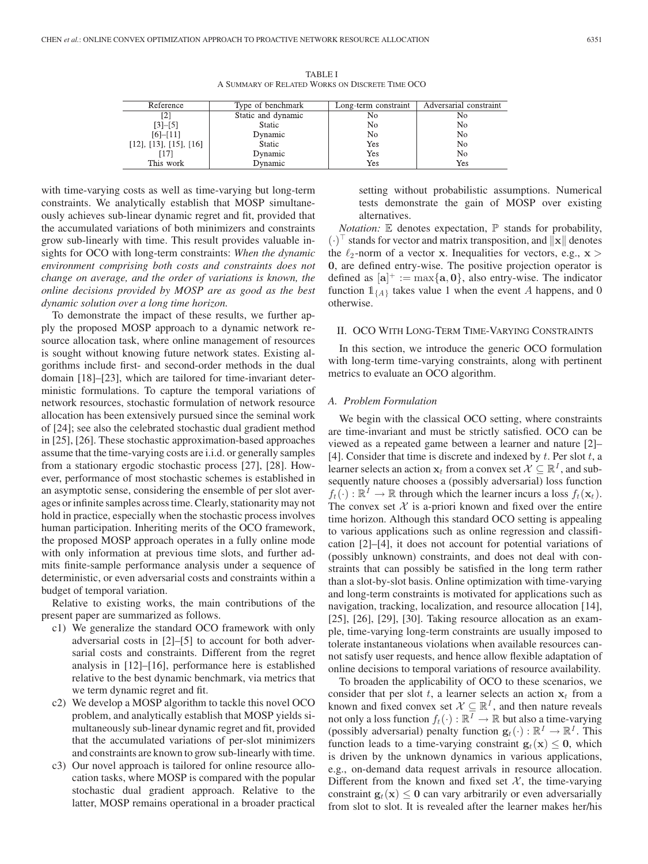TABLE I A SUMMARY OF RELATED WORKS ON DISCRETE TIME OCO

| Reference                         | Type of benchmark<br>Long-term constraint |     | Adversarial constraint |
|-----------------------------------|-------------------------------------------|-----|------------------------|
|                                   | Static and dynamic<br>No                  |     | No                     |
| $[3]-[5]$                         | <b>Static</b>                             | No  | No                     |
| $[6]-[11]$                        | Dynamic                                   | No  | No                     |
| $[12]$ , $[13]$ , $[15]$ , $[16]$ | Static                                    | Yes | No                     |
|                                   | Dynamic                                   | Yes | No                     |
| This work                         | Dynamic                                   | Yes | Yes                    |

with time-varying costs as well as time-varying but long-term constraints. We analytically establish that MOSP simultaneously achieves sub-linear dynamic regret and fit, provided that the accumulated variations of both minimizers and constraints grow sub-linearly with time. This result provides valuable insights for OCO with long-term constraints: *When the dynamic environment comprising both costs and constraints does not change on average, and the order of variations is known, the online decisions provided by MOSP are as good as the best dynamic solution over a long time horizon.*

To demonstrate the impact of these results, we further apply the proposed MOSP approach to a dynamic network resource allocation task, where online management of resources is sought without knowing future network states. Existing algorithms include first- and second-order methods in the dual domain [18]–[23], which are tailored for time-invariant deterministic formulations. To capture the temporal variations of network resources, stochastic formulation of network resource allocation has been extensively pursued since the seminal work of [24]; see also the celebrated stochastic dual gradient method in [25], [26]. These stochastic approximation-based approaches assume that the time-varying costs are i.i.d. or generally samples from a stationary ergodic stochastic process [27], [28]. However, performance of most stochastic schemes is established in an asymptotic sense, considering the ensemble of per slot averages or infinite samples across time. Clearly, stationarity may not hold in practice, especially when the stochastic process involves human participation. Inheriting merits of the OCO framework, the proposed MOSP approach operates in a fully online mode with only information at previous time slots, and further admits finite-sample performance analysis under a sequence of deterministic, or even adversarial costs and constraints within a budget of temporal variation.

Relative to existing works, the main contributions of the present paper are summarized as follows.

- c1) We generalize the standard OCO framework with only adversarial costs in [2]–[5] to account for both adversarial costs and constraints. Different from the regret analysis in [12]–[16], performance here is established relative to the best dynamic benchmark, via metrics that we term dynamic regret and fit.
- c2) We develop a MOSP algorithm to tackle this novel OCO problem, and analytically establish that MOSP yields simultaneously sub-linear dynamic regret and fit, provided that the accumulated variations of per-slot minimizers and constraints are known to grow sub-linearly with time.
- c3) Our novel approach is tailored for online resource allocation tasks, where MOSP is compared with the popular stochastic dual gradient approach. Relative to the latter, MOSP remains operational in a broader practical

setting without probabilistic assumptions. Numerical tests demonstrate the gain of MOSP over existing alternatives.

*Notation:* E denotes expectation, P stands for probability,  $(\cdot)^\top$  stands for vector and matrix transposition, and  $||\mathbf{x}||$  denotes the  $\ell_0$ -norm of a vector **x**. Inequalities for vectors  $e \times \mathbf{x}$ the  $\ell_2$ -norm of a vector **x**. Inequalities for vectors, e.g., **x** > 0. are defined entry-wise. The positive projection operator is **0**, are defined entry-wise. The positive projection operator is defined as  $[\mathbf{a}]^+ := \max{\{\mathbf{a}, \mathbf{0}\}}$ , also entry-wise. The indicator function  $\mathbb{1}_{\{\mathbf{a},\mathbf{b}\}}$  takes value 1 when the event A happens and 0 function  $\mathbb{1}_{\{A\}}$  takes value 1 when the event A happens, and 0 otherwise.

#### II. OCO WITH LONG-TERM TIME-VARYING CONSTRAINTS

In this section, we introduce the generic OCO formulation with long-term time-varying constraints, along with pertinent metrics to evaluate an OCO algorithm.

# *A. Problem Formulation*

We begin with the classical OCO setting, where constraints are time-invariant and must be strictly satisfied. OCO can be viewed as a repeated game between a learner and nature [2]– [4]. Consider that time is discrete and indexed by  $t$ . Per slot  $t$ , a learner selects an action  $\mathbf{x}_t$  from a convex set  $\mathcal{X} \subseteq \mathbb{R}^I$ , and subsequently nature chooses a (possibly adversarial) loss function  $f_t(\cdot): \mathbb{R}^1 \to \mathbb{R}$  through which the learner incurs a loss  $f_t(\mathbf{x}_t)$ . The convex set  $X$  is a-priori known and fixed over the entire time horizon. Although this standard OCO setting is appealing to various applications such as online regression and classification [2]–[4], it does not account for potential variations of (possibly unknown) constraints, and does not deal with constraints that can possibly be satisfied in the long term rather than a slot-by-slot basis. Online optimization with time-varying and long-term constraints is motivated for applications such as navigation, tracking, localization, and resource allocation [14], [25], [26], [29], [30]. Taking resource allocation as an example, time-varying long-term constraints are usually imposed to tolerate instantaneous violations when available resources cannot satisfy user requests, and hence allow flexible adaptation of online decisions to temporal variations of resource availability.

To broaden the applicability of OCO to these scenarios, we consider that per slot t, a learner selects an action  $x_t$  from a known and fixed convex set  $X \subseteq \mathbb{R}^I$ , and then nature reveals not only a loss function  $f_t(\cdot) : \mathbb{R}^T \to \mathbb{R}$  but also a time-varying (possibly adversarial) penalty function  $\mathbf{g}_t(\cdot) : \mathbb{R}^I \to \mathbb{R}^I$ . This function leads to a time-varying constraint  $\mathbf{g}_t(\mathbf{x}) \leq \mathbf{0}$ , which is driven by the unknown dynamics in various applications, e.g., on-demand data request arrivals in resource allocation. Different from the known and fixed set  $X$ , the time-varying constraint  $\mathbf{g}_t(\mathbf{x}) \leq 0$  can vary arbitrarily or even adversarially from slot to slot. It is revealed after the learner makes her/his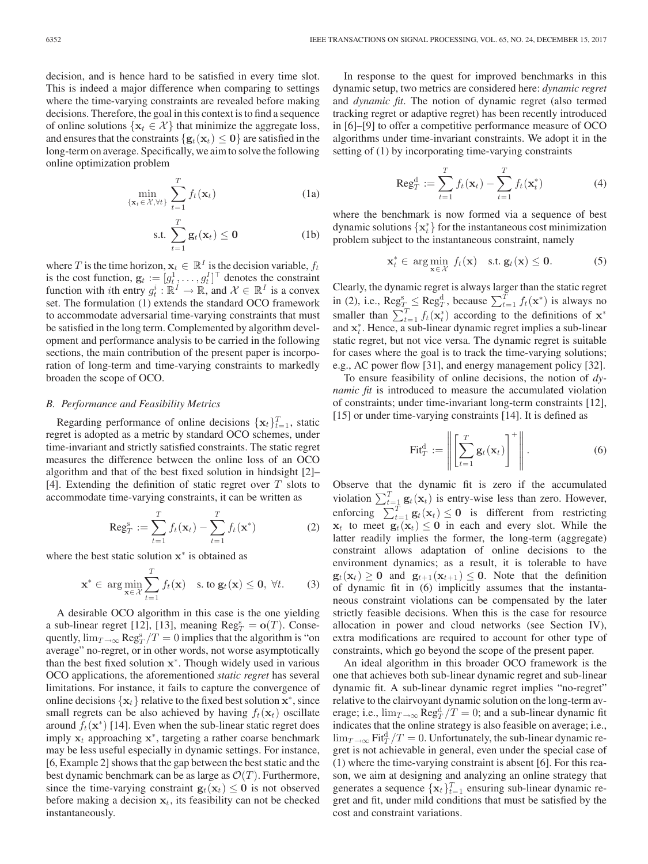decision, and is hence hard to be satisfied in every time slot. This is indeed a major difference when comparing to settings where the time-varying constraints are revealed before making decisions. Therefore, the goal in this context is to find a sequence of online solutions  $\{x_t \in \mathcal{X}\}\$  that minimize the aggregate loss, and ensures that the constraints  $\{g_t(\mathbf{x}_t) \leq 0\}$  are satisfied in the long-term on average. Specifically, we aim to solve the following online optimization problem

$$
\min_{\{\mathbf{x}_t \in \mathcal{X}, \forall t\}} \sum_{t=1}^T f_t(\mathbf{x}_t)
$$
 (1a)

$$
\text{s.t. } \sum_{t=1}^{T} \mathbf{g}_t(\mathbf{x}_t) \le \mathbf{0} \tag{1b}
$$

where T is the time horizon,  $\mathbf{x}_t \in \mathbb{R}^I$  is the decision variable,  $f_t$ is the cost function,  $\mathbf{g}_t := [g_t^1, \dots, g_t^l]^\top$  denotes the constraint<br>function with *i*th entry  $g_t^i \cdot \mathbb{R}^I \rightarrow \mathbb{R}$  and  $\mathcal{X} \in \mathbb{R}^I$  is a convex function with *i*th entry  $g_t^i : \mathbb{R}^I \to \mathbb{R}$ , and  $\mathcal{X} \in \mathbb{R}^I$  is a convex set. The formulation (1) extends the standard OCO framework to accommodate adversarial time-varying constraints that must be satisfied in the long term. Complemented by algorithm development and performance analysis to be carried in the following sections, the main contribution of the present paper is incorporation of long-term and time-varying constraints to markedly broaden the scope of OCO.

#### *B. Performance and Feasibility Metrics*

Regarding performance of online decisions  $\{x_t\}_{t=1}^T$ , static order is adopted as a metric by standard OCO schemes under regret is adopted as a metric by standard OCO schemes, under time-invariant and strictly satisfied constraints. The static regret measures the difference between the online loss of an OCO algorithm and that of the best fixed solution in hindsight [2]– [4]. Extending the definition of static regret over  $T$  slots to accommodate time-varying constraints, it can be written as

$$
\operatorname{Reg}_{T}^s := \sum_{t=1}^{T} f_t(\mathbf{x}_t) - \sum_{t=1}^{T} f_t(\mathbf{x}^*)
$$
 (2)

where the best static solution **<sup>x</sup>**<sup>∗</sup> is obtained as

$$
\mathbf{x}^* \in \arg\min_{\mathbf{x} \in \mathcal{X}} \sum_{t=1}^T f_t(\mathbf{x}) \quad \text{s. to } \mathbf{g}_t(\mathbf{x}) \le \mathbf{0}, \ \forall t. \tag{3}
$$

A desirable OCO algorithm in this case is the one yielding a sub-linear regret [12], [13], meaning  $\text{Reg}_T^s = \mathbf{o}(T)$ . Conse-<br>quently  $\lim_{T \to \infty} \text{Reg}_T^s / T = 0$  implies that the algorithm is "on quently,  $\lim_{T \to \infty} \text{Reg}_T^s / T = 0$  implies that the algorithm is "on average" no-regret, or in other words, not worse asymptotically than the best fixed solution **<sup>x</sup>**<sup>∗</sup>. Though widely used in various OCO applications, the aforementioned *static regret* has several limitations. For instance, it fails to capture the convergence of online decisions  $\{x_t\}$  relative to the fixed best solution  $x^*$ , since small regrets can be also achieved by having  $f_t(\mathbf{x}_t)$  oscillate around  $f_t(\mathbf{x}^*)$  [14]. Even when the sub-linear static regret does imply  $x_t$  approaching  $x^*$ , targeting a rather coarse benchmark may be less useful especially in dynamic settings. For instance, [6, Example 2] shows that the gap between the best static and the best dynamic benchmark can be as large as  $\mathcal{O}(T)$ . Furthermore, since the time-varying constraint  $\mathbf{g}_t(\mathbf{x}_t) \leq 0$  is not observed before making a decision  $x_t$ , its feasibility can not be checked instantaneously.

In response to the quest for improved benchmarks in this dynamic setup, two metrics are considered here: *dynamic regret* and *dynamic fit*. The notion of dynamic regret (also termed tracking regret or adaptive regret) has been recently introduced in [6]–[9] to offer a competitive performance measure of OCO algorithms under time-invariant constraints. We adopt it in the setting of (1) by incorporating time-varying constraints

$$
\operatorname{Reg}_{T}^{d} := \sum_{t=1}^{T} f_{t}(\mathbf{x}_{t}) - \sum_{t=1}^{T} f_{t}(\mathbf{x}_{t}^{*})
$$
(4)

where the benchmark is now formed via a sequence of best dynamic solutions  $\{x_t^*\}$  for the instantaneous cost minimization<br>problem subject to the instantaneous constraint, namely problem subject to the instantaneous constraint, namely

$$
\mathbf{x}_t^* \in \arg\min_{\mathbf{x} \in \mathcal{X}} f_t(\mathbf{x}) \quad \text{s.t. } \mathbf{g}_t(\mathbf{x}) \leq \mathbf{0}.
$$
 (5)

Clearly, the dynamic regret is always larger than the static regret in (2), i.e.,  $\text{Reg}_T^S \leq \text{Reg}_T^d$ , because  $\sum_{t=1}^T f_t(\mathbf{x}^*)$  is always no smaller than  $\sum_{t=1}^T f_t(\mathbf{x}^*)$  according to the definitions of  $\mathbf{x}^*$  and  $\mathbf{x}^*$  Hence a sub-linear dynamic regret implies a sub-line and  $x_t^*$ . Hence, a sub-linear dynamic regret implies a sub-linear static regret but not vice versa. The dynamic regret is suitable static regret, but not vice versa. The dynamic regret is suitable for cases where the goal is to track the time-varying solutions; e.g., AC power flow [31], and energy management policy [32].

To ensure feasibility of online decisions, the notion of *dynamic fit* is introduced to measure the accumulated violation of constraints; under time-invariant long-term constraints [12], [15] or under time-varying constraints [14]. It is defined as

$$
\text{Fit}_T^{\text{d}} := \left\| \left[ \sum_{t=1}^T \mathbf{g}_t(\mathbf{x}_t) \right]^+ \right\|.
$$
 (6)

Observe that the dynamic fit is zero if the accumulated violation  $\sum_{t=1}^{T} \mathbf{g}_t(\mathbf{x}_t)$  is entry-wise less than zero. However, enforcing  $\sum_{t=1}^{T} g_t(\mathbf{x}_t) \leq \mathbf{0}$  is different from restricting  $\mathbf{x}_t$  to meet  $g_t(\mathbf{x}_t) < \mathbf{0}$  in each and every slot. While the **x**<sub>t</sub> to meet  $\mathbf{g}_t(\mathbf{x}_t) \leq 0$  in each and every slot. While the latter readily implies the former, the long-term (aggregate) constraint allows adaptation of online decisions to the environment dynamics; as a result, it is tolerable to have  $\mathbf{g}_t(\mathbf{x}_t) \geq 0$  and  $\mathbf{g}_{t+1}(\mathbf{x}_{t+1}) \leq 0$ . Note that the definition of dynamic fit in (6) implicitly assumes that the instantaneous constraint violations can be compensated by the later strictly feasible decisions. When this is the case for resource allocation in power and cloud networks (see Section IV), extra modifications are required to account for other type of constraints, which go beyond the scope of the present paper.

An ideal algorithm in this broader OCO framework is the one that achieves both sub-linear dynamic regret and sub-linear dynamic fit. A sub-linear dynamic regret implies "no-regret" relative to the clairvoyant dynamic solution on the long-term average; i.e.,  $\lim_{T \to \infty} \text{Reg}_T^d / T = 0$ ; and a sub-linear dynamic fit indicates that the online strategy is also feasible on average; i.e.,  $\lim_{T\to\infty} \operatorname{Fit}^{\mathrm{d}}_T/T = 0.$  Unfortunately, the sub-linear dynamic regret is not achievable in general, even under the special case of (1) where the time-varying constraint is absent [6]. For this reason, we aim at designing and analyzing an online strategy that generates a sequence  $\{x_t\}_{t=1}^T$  ensuring sub-linear dynamic re-<br>gret and fit, under mild conditions that must be satisfied by the gret and fit, under mild conditions that must be satisfied by the cost and constraint variations.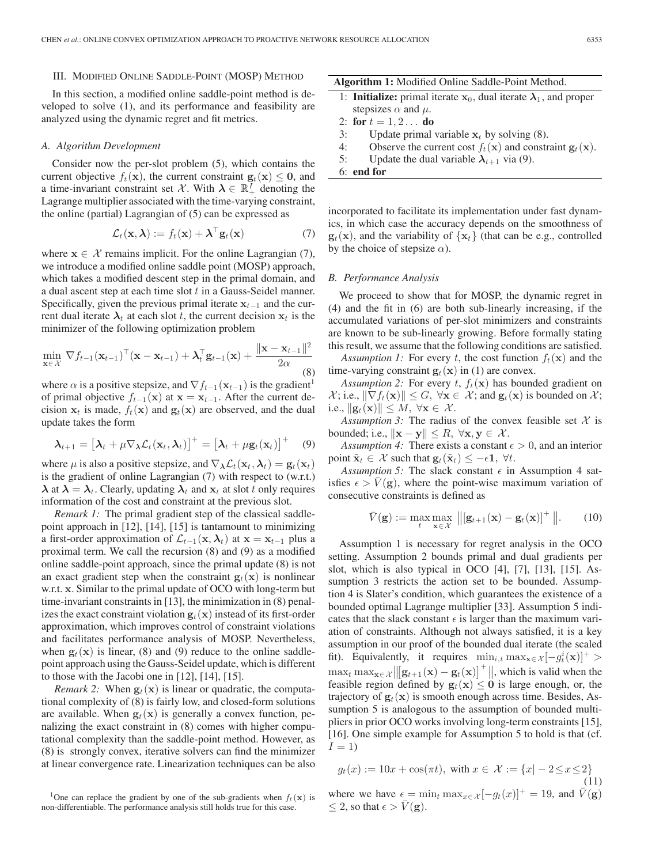### III. MODIFIED ONLINE SADDLE-POINT (MOSP) METHOD

In this section, a modified online saddle-point method is developed to solve (1), and its performance and feasibility are analyzed using the dynamic regret and fit metrics.

#### *A. Algorithm Development*

Consider now the per-slot problem (5), which contains the current objective  $f_t(\mathbf{x})$ , the current constraint  $\mathbf{g}_t(\mathbf{x}) \leq 0$ , and a time-invariant constraint set X. With  $\lambda \in \mathbb{R}^I_+$  denoting the Lagrange multiplier associated with the time-varying constraint, the online (partial) Lagrangian of (5) can be expressed as

$$
\mathcal{L}_t(\mathbf{x}, \boldsymbol{\lambda}) := f_t(\mathbf{x}) + \boldsymbol{\lambda}^\top \mathbf{g}_t(\mathbf{x}) \tag{7}
$$

where  $\mathbf{x} \in \mathcal{X}$  remains implicit. For the online Lagrangian (7), we introduce a modified online saddle point (MOSP) approach, which takes a modified descent step in the primal domain, and a dual ascent step at each time slot  $t$  in a Gauss-Seidel manner. Specifically, given the previous primal iterate  $\mathbf{x}_{t-1}$  and the current dual iterate  $\lambda_t$  at each slot t, the current decision  $\mathbf{x}_t$  is the minimizer of the following optimization problem

$$
\min_{\mathbf{x} \in \mathcal{X}} \nabla f_{t-1}(\mathbf{x}_{t-1})^{\top}(\mathbf{x} - \mathbf{x}_{t-1}) + \boldsymbol{\lambda}_{t}^{\top} \mathbf{g}_{t-1}(\mathbf{x}) + \frac{\|\mathbf{x} - \mathbf{x}_{t-1}\|^{2}}{2\alpha} \tag{8}
$$

where  $\alpha$  is a positive stepsize, and  $\nabla f_{t-1}(\mathbf{x}_{t-1})$  is the gradient<sup>1</sup> of primal objective  $f_{t-1}(\mathbf{x})$  at  $\mathbf{x} = \mathbf{x}_{t-1}$ . After the current decision  $x_t$  is made,  $f_t(x)$  and  $g_t(x)$  are observed, and the dual update takes the form

$$
\boldsymbol{\lambda}_{t+1} = \left[\boldsymbol{\lambda}_t + \mu \nabla_{\boldsymbol{\lambda}} \mathcal{L}_t(\mathbf{x}_t, \boldsymbol{\lambda}_t)\right]^+ = \left[\boldsymbol{\lambda}_t + \mu \mathbf{g}_t(\mathbf{x}_t)\right]^+ \quad (9)
$$

where  $\mu$  is also a positive stepsize, and  $\nabla_{\lambda} \mathcal{L}_t(\mathbf{x}_t, \lambda_t) = \mathbf{g}_t(\mathbf{x}_t)$ is the gradient of online Lagrangian (7) with respect to (w.r.t.)  $\lambda$  at  $\lambda = \lambda_t$ . Clearly, updating  $\lambda_t$  and  $\mathbf{x}_t$  at slot t only requires information of the cost and constraint at the previous slot.

*Remark 1:* The primal gradient step of the classical saddlepoint approach in [12], [14], [15] is tantamount to minimizing a first-order approximation of  $\mathcal{L}_{t-1}(\mathbf{x}, \lambda_t)$  at  $\mathbf{x} = \mathbf{x}_{t-1}$  plus a proximal term. We call the recursion (8) and (9) as a modified online saddle-point approach, since the primal update (8) is not an exact gradient step when the constraint  $\mathbf{g}_t(\mathbf{x})$  is nonlinear w.r.t. **x**. Similar to the primal update of OCO with long-term but time-invariant constraints in [13], the minimization in (8) penalizes the exact constraint violation  $\mathbf{g}_t(\mathbf{x})$  instead of its first-order approximation, which improves control of constraint violations and facilitates performance analysis of MOSP. Nevertheless, when  $\mathbf{g}_t(\mathbf{x})$  is linear, (8) and (9) reduce to the online saddlepoint approach using the Gauss-Seidel update, which is different to those with the Jacobi one in [12], [14], [15].

*Remark 2:* When  $\mathbf{g}_t(\mathbf{x})$  is linear or quadratic, the computational complexity of (8) is fairly low, and closed-form solutions are available. When  $\mathbf{g}_t(\mathbf{x})$  is generally a convex function, penalizing the exact constraint in (8) comes with higher computational complexity than the saddle-point method. However, as (8) is strongly convex, iterative solvers can find the minimizer at linear convergence rate. Linearization techniques can be also

|  |  |  | Algorithm 1: Modified Online Saddle-Point Method. |  |
|--|--|--|---------------------------------------------------|--|
|--|--|--|---------------------------------------------------|--|

- 1: **Initialize:** primal iterate  $x_0$ , dual iterate  $\lambda_1$ , and proper stepsizes  $\alpha$  and  $\mu$ .
- 2: **for**  $t = 1, 2...$  **do**
- 3: Update primal variable  $\mathbf{x}_t$  by solving (8).<br>4: Observe the current cost  $f_t(\mathbf{x})$  and constr
- 4: Observe the current cost  $f_t(\mathbf{x})$  and constraint  $\mathbf{g}_t(\mathbf{x})$ .<br>5: Update the dual variable  $\lambda_{t+1}$  via (9).
- Update the dual variable  $\lambda_{t+1}$  via (9).
- 6: **end for**

incorporated to facilitate its implementation under fast dynamics, in which case the accuracy depends on the smoothness of  $\mathbf{g}_t(\mathbf{x})$ , and the variability of  $\{\mathbf{x}_t\}$  (that can be e.g., controlled by the choice of stepsize  $\alpha$ ).

#### *B. Performance Analysis*

We proceed to show that for MOSP, the dynamic regret in (4) and the fit in (6) are both sub-linearly increasing, if the accumulated variations of per-slot minimizers and constraints are known to be sub-linearly growing. Before formally stating this result, we assume that the following conditions are satisfied.

*Assumption 1:* For every t, the cost function  $f_t(\mathbf{x})$  and the time-varying constraint  $\mathbf{g}_t(\mathbf{x})$  in (1) are convex.

*Assumption 2:* For every  $t$ ,  $f_t(\mathbf{x})$  has bounded gradient on  $\mathcal{X}$ ; i.e.,  $\|\nabla f_t(\mathbf{x})\| \leq G$ ,  $\forall \mathbf{x} \in \mathcal{X}$ ; and  $\mathbf{g}_t(\mathbf{x})$  is bounded on  $\mathcal{X}$ ; i.e.,  $\|\mathbf{g}_t(\mathbf{x})\| \leq M$ ,  $\forall \mathbf{x} \in \mathcal{X}$ .

*Assumption 3:* The radius of the convex feasible set  $X$  is bounded; i.e.,  $\|\mathbf{x} - \mathbf{y}\| \leq R$ ,  $\forall \mathbf{x}, \mathbf{y} \in \mathcal{X}$ .

*Assumption 4:* There exists a constant  $\epsilon > 0$ , and an interior point  $\tilde{\mathbf{x}}_t \in \mathcal{X}$  such that  $\mathbf{g}_t(\tilde{\mathbf{x}}_t) \le -\epsilon \mathbf{1}, \forall t$ .

*Assumption 5:* The slack constant  $\epsilon$  in Assumption 4 satisfies  $\epsilon > V(\mathbf{g})$ , where the point-wise maximum variation of consecutive constraints is defined as

$$
\bar{V}(\mathbf{g}) := \max_{t} \max_{\mathbf{x} \in \mathcal{X}} ||[\mathbf{g}_{t+1}(\mathbf{x}) - \mathbf{g}_t(\mathbf{x})]^+ ||. \quad (10)
$$

Assumption 1 is necessary for regret analysis in the OCO setting. Assumption 2 bounds primal and dual gradients per slot, which is also typical in OCO [4], [7], [13], [15]. Assumption 3 restricts the action set to be bounded. Assumption 4 is Slater's condition, which guarantees the existence of a bounded optimal Lagrange multiplier [33]. Assumption 5 indicates that the slack constant  $\epsilon$  is larger than the maximum variation of constraints. Although not always satisfied, it is a key assumption in our proof of the bounded dual iterate (the scaled fit). Equivalently, it requires  $\min_{i,t} \max_{\mathbf{x} \in \mathcal{X}} [-g_i^i(\mathbf{x})]^+ >$  $\max_{\mathbf{k}} \max_{\mathbf{x} \in \mathcal{X}} \left\| \left[ \mathbf{g}_{t+1}(\mathbf{x}) - \mathbf{g}_t(\mathbf{x}) \right]^+ \right\|$ , which is valid when the feasible region defined by  $\mathbf{g}_t(\mathbf{x}) \leq 0$  is large enough or the finally finally  $g_t(x) \leq 0$  is large enough, or, the feasible region defined by  $g_t(x) \leq 0$  is large enough, or, the trajectory of  $g_t(x)$  is smooth enough across time. Besides Astrajectory of  $\mathbf{g}_t(\mathbf{x})$  is smooth enough across time. Besides, Assumption 5 is analogous to the assumption of bounded multipliers in prior OCO works involving long-term constraints [15], [16]. One simple example for Assumption 5 to hold is that (cf.  $I=1$ 

$$
g_t(x) := 10x + \cos(\pi t), \text{ with } x \in \mathcal{X} := \{x \mid -2 \le x \le 2\}
$$
  
where we have  $\epsilon = \min_t \max_{x \in \mathcal{X}} [-g_t(x)]^+ = 19$ , and  $\bar{V}(\mathbf{g}) \le 2$ , so that  $\epsilon > \bar{V}(\mathbf{g})$ .

<sup>&</sup>lt;sup>1</sup>One can replace the gradient by one of the sub-gradients when  $f_t(\mathbf{x})$  is non-differentiable. The performance analysis still holds true for this case.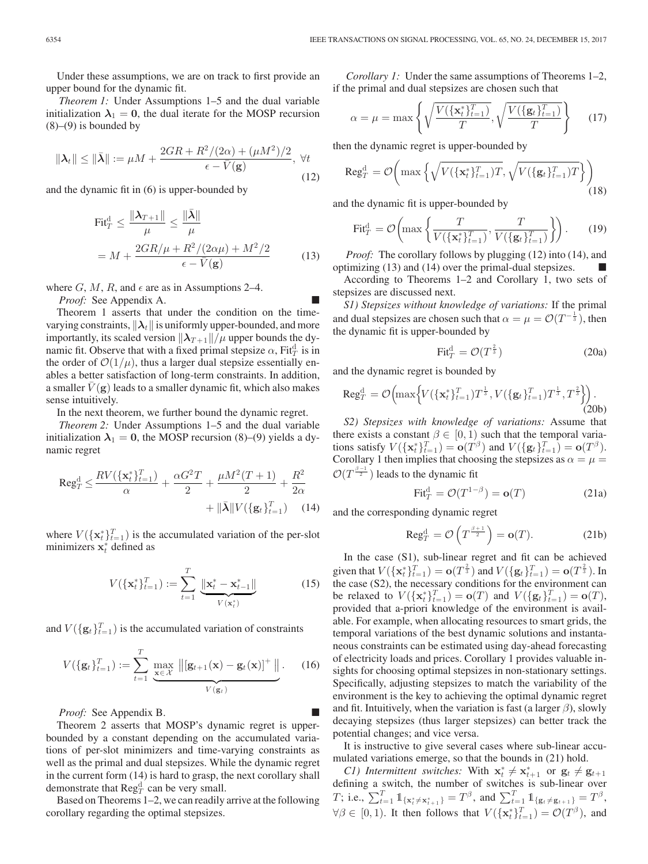Under these assumptions, we are on track to first provide an upper bound for the dynamic fit.

*Theorem 1:* Under Assumptions 1–5 and the dual variable initialization  $\lambda_1 = 0$ , the dual iterate for the MOSP recursion  $(8)$ – $(9)$  is bounded by

$$
\|\lambda_t\| \le \|\bar{\lambda}\| := \mu M + \frac{2GR + R^2/(2\alpha) + (\mu M^2)/2}{\epsilon - \bar{V}(\mathbf{g})}, \ \forall t
$$
\n(12)

and the dynamic fit in (6) is upper-bounded by

$$
\text{Fit}_{T}^{\text{d}} \le \frac{\|\boldsymbol{\lambda}_{T+1}\|}{\mu} \le \frac{\|\bar{\boldsymbol{\lambda}}\|}{\mu}
$$

$$
= M + \frac{2GR/\mu + R^{2}/(2\alpha\mu) + M^{2}/2}{\epsilon - \bar{V}(\mathbf{g})}
$$
(13)

where  $G, M, R$ , and  $\epsilon$  are as in Assumptions 2–4.

*Proof:* See Appendix A.

Theorem 1 asserts that under the condition on the timevarying constraints,  $\|\lambda_t\|$  is uniformly upper-bounded, and more importantly, its scaled version  $\|\lambda_{T+1}\|/\mu$  upper bounds the dynamic fit. Observe that with a fixed primal stepsize  $\alpha$ , Fit $_T^d$  is in the order of  $\mathcal{O}(1/\mu)$ , thus a larger dual stepsize essentially enables a better satisfaction of long-term constraints. In addition, a smaller  $V(\mathbf{g})$  leads to a smaller dynamic fit, which also makes sense intuitively.

In the next theorem, we further bound the dynamic regret.

*Theorem 2:* Under Assumptions 1–5 and the dual variable initialization  $\lambda_1 = 0$ , the MOSP recursion (8)–(9) yields a dynamic regret

$$
\operatorname{Reg}_{T}^{d} \leq \frac{RV(\{\mathbf{x}_{t}^{*}\}_{t=1}^{T})}{\alpha} + \frac{\alpha G^{2}T}{2} + \frac{\mu M^{2}(T+1)}{2} + \frac{R^{2}}{2\alpha} + \|\bar{\lambda}\| V(\{\mathbf{g}_{t}\}_{t=1}^{T}) \quad (14)
$$

where  $V({\{\mathbf{x}_t^*\}}_{t=1}^T)$  is the accumulated variation of the per-slot minimizers  $\mathbf{x}^*$  defined as minimizers  $\mathbf{x}_t^*$  defined as

$$
V(\{\mathbf{x}_{t}^{*}\}_{t=1}^{T}) := \sum_{t=1}^{T} \underbrace{\|\mathbf{x}_{t}^{*} - \mathbf{x}_{t-1}^{*}\|}_{V(\mathbf{x}_{t}^{*})}
$$
(15)

and  $V(\{\mathbf{g}_t\}_{t=1}^T)$  is the accumulated variation of constraints

$$
V(\{\mathbf{g}_t\}_{t=1}^T) := \sum_{t=1}^T \underbrace{\max_{\mathbf{x} \in \mathcal{X}} ||[\mathbf{g}_{t+1}(\mathbf{x}) - \mathbf{g}_t(\mathbf{x})]^+ ||}_{V(\mathbf{g}_t)}.
$$
 (16)

*Proof:* See Appendix B.

Theorem 2 asserts that MOSP's dynamic regret is upperbounded by a constant depending on the accumulated variations of per-slot minimizers and time-varying constraints as well as the primal and dual stepsizes. While the dynamic regret in the current form (14) is hard to grasp, the next corollary shall demonstrate that  $\text{Reg}_T^d$  can be very small.

Based on Theorems 1–2, we can readily arrive at the following corollary regarding the optimal stepsizes.

*Corollary 1:* Under the same assumptions of Theorems 1–2, if the primal and dual stepsizes are chosen such that

$$
\alpha = \mu = \max\left\{ \sqrt{\frac{V(\{\mathbf{x}_t^*\}_{t=1}^T)}{T}}, \sqrt{\frac{V(\{\mathbf{g}_t\}_{t=1}^T)}{T}} \right\}
$$
(17)

then the dynamic regret is upper-bounded by

$$
\operatorname{Reg}_{T}^{\operatorname{d}} = \mathcal{O}\left(\max\left\{\sqrt{V(\{\mathbf{x}_{t}^{*}\}_{t=1}^{T})T}, \sqrt{V(\{\mathbf{g}_{t}\}_{t=1}^{T})T}\right\}\right)
$$
(18)

and the dynamic fit is upper-bounded by

$$
\text{Fit}_T^{\text{d}} = \mathcal{O}\left(\max\left\{\frac{T}{V(\{\mathbf{x}_t^*\}_{t=1}^T)}, \frac{T}{V(\{\mathbf{g}_t\}_{t=1}^T)}\right\}\right).
$$
 (19)

*Proof:* The corollary follows by plugging (12) into (14), and optimizing  $(13)$  and  $(14)$  over the primal-dual stepsizes.

According to Theorems 1–2 and Corollary 1, two sets of stepsizes are discussed next.

*S1) Stepsizes without knowledge of variations:* If the primal and dual stepsizes are chosen such that  $\alpha = \mu = \mathcal{O}(T^{-\frac{1}{3}})$ , then the dynamic fit is upper-bounded by

$$
\text{Fit}_T^{\text{d}} = \mathcal{O}(T^{\frac{2}{3}})
$$
 (20a)

and the dynamic regret is bounded by

$$
\text{Reg}_{T}^{\text{d}} = \mathcal{O}\Big(\text{max}\Big\{V(\{\mathbf{x}_{t}^{*}\}_{t=1}^{T})T^{\frac{1}{3}}, V(\{\mathbf{g}_{t}\}_{t=1}^{T})T^{\frac{1}{3}}, T^{\frac{2}{3}}\Big\}\Big) \,. \tag{20b}
$$

*S2) Stepsizes with knowledge of variations:* Assume that there exists a constant  $\beta \in [0, 1)$  such that the temporal variations satisfy  $V(\lbrace \mathbf{x}_t^* \rbrace_{t=1}^T) = \mathbf{o}(T^{\beta})$  and  $V(\lbrace \mathbf{g}_t \rbrace_{t=1}^T) = \mathbf{o}(T^{\beta})$ .<br>Corollary 1 then implies that choosing the stepsizes as  $\alpha - \mu$ Corollary 1 then implies that choosing the stepsizes as  $\alpha = \mu =$  $\mathcal{O}(T^{\frac{\beta-1}{2}})$  leads to the dynamic fit

$$
\text{Fit}_T^{\text{d}} = \mathcal{O}(T^{1-\beta}) = \mathbf{o}(T) \tag{21a}
$$

and the corresponding dynamic regret

$$
\operatorname{Reg}_T^{\mathrm{d}} = \mathcal{O}\left(T^{\frac{\beta+1}{2}}\right) = \mathbf{o}(T). \tag{21b}
$$

In the case (S1), sub-linear regret and fit can be achieved given that  $V(\lbrace \mathbf{x}_t^* \rbrace_{t=1}^T) = \mathbf{o}(T^{\frac{2}{3}})$  and  $V(\lbrace \mathbf{g}_t \rbrace_{t=1}^T) = \mathbf{o}(T^{\frac{2}{3}})$ . In the case (S2), the precessary conditions for the environment can the case (S2), the necessary conditions for the environment can be relaxed to  $V({\{\mathbf{x}_t^*\}}_{t=1}^T) = \mathbf{o}(T)$  and  $V({\{\mathbf{g}_t\}}_{t=1}^T) = \mathbf{o}(T)$ ,<br>provided that a-priori knowledge of the environment is availprovided that a-priori knowledge of the environment is available. For example, when allocating resources to smart grids, the temporal variations of the best dynamic solutions and instantaneous constraints can be estimated using day-ahead forecasting of electricity loads and prices. Corollary 1 provides valuable insights for choosing optimal stepsizes in non-stationary settings. Specifically, adjusting stepsizes to match the variability of the environment is the key to achieving the optimal dynamic regret and fit. Intuitively, when the variation is fast (a larger  $\beta$ ), slowly decaying stepsizes (thus larger stepsizes) can better track the potential changes; and vice versa.

It is instructive to give several cases where sub-linear accumulated variations emerge, so that the bounds in (21) hold.

*C1) Intermittent switches:* With  $\mathbf{x}_t^* \neq \mathbf{x}_{t+1}^*$  or  $\mathbf{g}_t \neq \mathbf{g}_{t+1}$  fining a switch the number of switches is sub-linear over defining a switch, the number of switches is sub-linear over T; i.e.,  $\sum_{t=1}^{T} 1_{\{\mathbf{x}_{t}^{*} \neq \mathbf{x}_{t+1}^{*}\}} = T^{\beta}$ , and  $\sum_{t=1}^{T} 1_{\{\mathbf{g}_{t} \neq \mathbf{g}_{t+1}\}} = T^{\beta}$ ,  $\forall \beta \in [0, 1)$ . It then follows that  $V(\{\mathbf{x}_t^*\}_{t=1}^T) = \mathcal{O}(T^{\beta})$ , and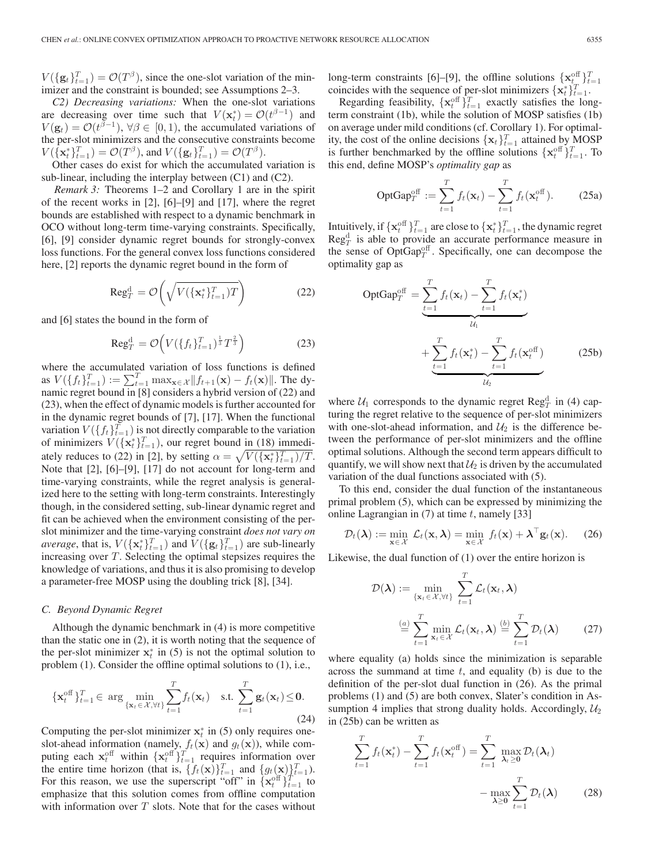$V(\lbrace \mathbf{g}_t \rbrace_{t=1}^T) = \mathcal{O}(T^{\beta})$ , since the one-slot variation of the min-<br>imizer and the constraint is bounded: see Assumptions 2–3 imizer and the constraint is bounded; see Assumptions 2–3.

*C2) Decreasing variations:* When the one-slot variations are decreasing over time such that  $V(\mathbf{x}_t^*) = \mathcal{O}(t^{\beta - 1})$  and  $V(\mathbf{x}_t) = \mathcal{O}(t^{\beta - 1})$   $\forall \beta \in [0, 1)$  the accumulated variations of  $V(\mathbf{g}_t) = \mathcal{O}(t^{\beta - 1}), \forall \beta \in [0, 1),$  the accumulated variations of the per-slot minimizers and the consecutive constraints become the per-slot minimizers and the consecutive constraints become  $V(\lbrace \mathbf{x}_t^* \rbrace_{t=1}^T) = \mathcal{O}(T^{\beta})$ , and  $V(\lbrace \mathbf{g}_t \rbrace_{t=1}^T) = \mathcal{O}(T^{\beta})$ .<br>Other cases do exist for which the accumulated

Other cases do exist for which the accumulated variation is sub-linear, including the interplay between (C1) and (C2).

*Remark 3:* Theorems 1–2 and Corollary 1 are in the spirit of the recent works in [2], [6]–[9] and [17], where the regret bounds are established with respect to a dynamic benchmark in OCO without long-term time-varying constraints. Specifically, [6], [9] consider dynamic regret bounds for strongly-convex loss functions. For the general convex loss functions considered here, [2] reports the dynamic regret bound in the form of

$$
\text{Reg}_T^{\text{d}} = \mathcal{O}\left(\sqrt{V(\{\mathbf{x}_t^*\}_{t=1}^T)T}\right) \tag{22}
$$

and [6] states the bound in the form of

$$
\text{Reg}_T^{\text{d}} = \mathcal{O}\Big(V(\{f_t\}_{t=1}^T)^{\frac{1}{3}}T^{\frac{2}{3}}\Big) \tag{23}
$$

where the accumulated variation of loss functions is defined as  $V(\lbrace f_t \rbrace_{t=1}^T) := \sum_{t=1}^T \max_{\mathbf{x} \in \mathcal{X}} ||f_{t+1}(\mathbf{x}) - f_t(\mathbf{x})||$ . The dynamic regret bound in [8] considers a hybrid version of (22) and namic regret bound in [8] considers a hybrid version of (22) and (23), when the effect of dynamic models is further accounted for in the dynamic regret bounds of [7], [17]. When the functional variation  $V(\lbrace f_t \rbrace_{t=1}^T)$  is not directly comparable to the variation of minimizers  $V(\{\mathbf{x}_t^*\}_{t=1}^T)$ , our regret bound in (18) immedi-<br>otaly reduces to (22) in [2], by eatting  $\alpha = \sqrt{V(\{\mathbf{x}^*\}_{t=1}^T)/T}$ ately reduces to (22) in [2], by setting  $\alpha = \sqrt{V(\{\mathbf{x}_t^*\}_{t=1}^T)/T}$ .<br>Note that [2] [6]-[9] [17] do not account for long-term and Note that [2], [6]–[9], [17] do not account for long-term and time-varying constraints, while the regret analysis is generalized here to the setting with long-term constraints. Interestingly though, in the considered setting, sub-linear dynamic regret and fit can be achieved when the environment consisting of the perslot minimizer and the time-varying constraint *does not vary on average*, that is,  $V({\mathbf{x}_t^*})_{t=1}^T$  and  $V({\mathbf{g}_t})_{t=1}^T$  are sub-linearly increasing over T. Selecting the optimal stensizes requires the increasing over T. Selecting the optimal stepsizes requires the knowledge of variations, and thus it is also promising to develop a parameter-free MOSP using the doubling trick [8], [34].

#### *C. Beyond Dynamic Regret*

Although the dynamic benchmark in (4) is more competitive than the static one in (2), it is worth noting that the sequence of the per-slot minimizer  $x_t^*$  in (5) is not the optimal solution to the optimal solutions to (1) i.e. problem (1). Consider the offline optimal solutions to (1), i.e.,

$$
\{\mathbf{x}_t^{\text{off}}\}_{t=1}^T \in \arg\min_{\{\mathbf{x}_t \in \mathcal{X}, \forall t\}} \sum_{t=1}^T f_t(\mathbf{x}_t) \quad \text{s.t.} \sum_{t=1}^T \mathbf{g}_t(\mathbf{x}_t) \leq \mathbf{0}. \tag{24}
$$

Computing the per-slot minimizer  $\mathbf{x}_t^*$  in (5) only requires one-<br>slot-ahead information (namely  $f_t(\mathbf{x})$  and  $g_t(\mathbf{x})$ ) while comslot-ahead information (namely,  $f_t(\mathbf{x})$  and  $g_t(\mathbf{x})$ ), while computing each  $\mathbf{x}_t^{\text{off}}$  within  $\{\mathbf{x}_t^{\text{off}}\}_{t=1}^T$  requires information over<br>the entire time horizon (that is  $\{f_t(\mathbf{x})\}_{t=1}^T$  and  $\{a_t(\mathbf{x})\}_{t=1}^T$ ) the entire time horizon (that is,  $\{f_t(\mathbf{x})\}_{t=1}^T$  and  $\{g_t(\mathbf{x})\}_{t=1}^T$ ).<br>For this reason, we use the superscript "off" in  $\{\mathbf{x}^{\text{off}}\}_{t=1}^T$  to For this reason, we use the superscript "off" in  $\{x_t^{\text{off}}\}_{t=1}^T$  to emphasize that this solution comes from offline computation emphasize that this solution comes from offline computation with information over  $T$  slots. Note that for the cases without

long-term constraints [6]–[9], the offline solutions  $\{x_t^{\text{eff}}\}_{t=1}^T$ <br>coincides with the sequence of per-slot minimizers  $\{x_t^*\}_{t=1}^T$ .<br>Regarding feasibility  $\{x_t^{\text{off}}\}_{t=1}^T$  exactly satisfies the long-

Regarding feasibility,  $\{x_t^{\text{off}}\}_{t=1}^T$  exactly satisfies the long-<br>m constraint (1b) while the solution of MOSP satisfies (1b) term constraint (1b), while the solution of MOSP satisfies (1b) on average under mild conditions (cf. Corollary 1). For optimality, the cost of the online decisions  $\{x_t\}_{t=1}^T$  attained by MOSP is further benchmarked by the offline solutions  $\{x^{\text{off}}\}_{T}$ . To is further benchmarked by the offline solutions  $\{ \mathbf{x}_t^{\text{off}} \}_{t=1}^T$ . To this end define MOSP's *ontimality gap* as this end, define MOSP's *optimality gap* as

$$
\text{OptGap}_{T}^{\text{off}} := \sum_{t=1}^{T} f_t(\mathbf{x}_t) - \sum_{t=1}^{T} f_t(\mathbf{x}_t^{\text{off}}). \tag{25a}
$$

Intuitively, if  $\{x_t^{\text{off}}\}_{t=1}^T$  are close to  $\{x_t^*\}_{t=1}^T$ , the dynamic regret Regularity of  $\mathbb{R}e^{i\theta}$ , is able to provide an accurate performance measure in  $\text{Reg}_{\mathcal{I}}^{\text{d}}$  is able to provide an accurate performance measure in the sense of  $\text{OptGap}_T^{\text{off}}$ . Specifically, one can decompose the optimality gap as

$$
\text{OptGap}_T^{\text{off}} = \underbrace{\sum_{t=1}^T f_t(\mathbf{x}_t) - \sum_{t=1}^T f_t(\mathbf{x}_t^*)}_{\mathcal{U}_1} + \underbrace{\sum_{t=1}^T f_t(\mathbf{x}_t^*) - \sum_{t=1}^T f_t(\mathbf{x}_t^{\text{off}})}_{\mathcal{U}_2}
$$
(25b)

where  $U_1$  corresponds to the dynamic regret  $\text{Reg}_T^d$  in (4) capturing the regret relative to the sequence of per-slot minimizers with one-slot-ahead information, and  $\mathcal{U}_2$  is the difference between the performance of per-slot minimizers and the offline optimal solutions. Although the second term appears difficult to quantify, we will show next that  $\mathcal{U}_2$  is driven by the accumulated variation of the dual functions associated with (5).

To this end, consider the dual function of the instantaneous primal problem (5), which can be expressed by minimizing the online Lagrangian in  $(7)$  at time t, namely [33]

$$
\mathcal{D}_t(\boldsymbol{\lambda}) := \min_{\mathbf{x} \in \mathcal{X}} \mathcal{L}_t(\mathbf{x}, \boldsymbol{\lambda}) = \min_{\mathbf{x} \in \mathcal{X}} f_t(\mathbf{x}) + \boldsymbol{\lambda}^\top \mathbf{g}_t(\mathbf{x}). \tag{26}
$$

Likewise, the dual function of (1) over the entire horizon is

$$
\mathcal{D}(\boldsymbol{\lambda}) := \min_{\{\mathbf{x}_t \in \mathcal{X}, \forall t\}} \sum_{t=1}^T \mathcal{L}_t(\mathbf{x}_t, \boldsymbol{\lambda})
$$

$$
\stackrel{(a)}{=} \sum_{t=1}^T \min_{\mathbf{x}_t \in \mathcal{X}} \mathcal{L}_t(\mathbf{x}_t, \boldsymbol{\lambda}) \stackrel{(b)}{=} \sum_{t=1}^T \mathcal{D}_t(\boldsymbol{\lambda})
$$
(27)

where equality (a) holds since the minimization is separable across the summand at time  $t$ , and equality (b) is due to the definition of the per-slot dual function in (26). As the primal problems (1) and (5) are both convex, Slater's condition in Assumption 4 implies that strong duality holds. Accordingly,  $\mathcal{U}_2$ in (25b) can be written as

$$
\sum_{t=1}^{T} f_t(\mathbf{x}_t^*) - \sum_{t=1}^{T} f_t(\mathbf{x}_t^{\text{off}}) = \sum_{t=1}^{T} \max_{\lambda_t \ge 0} \mathcal{D}_t(\lambda_t)
$$

$$
- \max_{\lambda \ge 0} \sum_{t=1}^{T} \mathcal{D}_t(\lambda) \qquad (28)
$$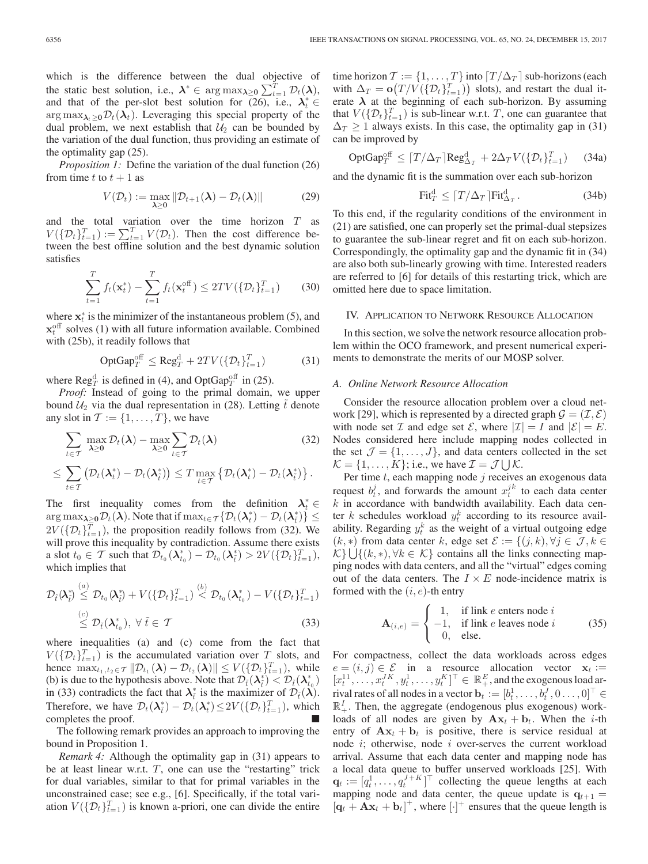which is the difference between the dual objective of the static best solution, i.e.,  $\lambda^* \in \arg \max_{\lambda \geq 0} \sum_{t=1}^T \mathcal{D}_t(\lambda)$ , and that of the per-slot best solution for  $(26)$ , i.e.,  $\lambda_t^* \in$  $\arg \max_{\lambda_t > 0} \mathcal{D}_t(\lambda_t)$ . Leveraging this special property of the dual problem, we next establish that  $\mathcal{U}_2$  can be bounded by the variation of the dual function, thus providing an estimate of the optimality gap (25).

*Proposition 1:* Define the variation of the dual function (26) from time t to  $t + 1$  as

$$
V(\mathcal{D}_t) := \max_{\lambda \ge 0} \|\mathcal{D}_{t+1}(\lambda) - \mathcal{D}_t(\lambda)\| \tag{29}
$$

and the total variation over the time horizon  $T$  as  $V(\{\mathcal{D}_t\}_{t=1}^T) := \sum_{t=1}^T V(\mathcal{D}_t)$ . Then the cost difference between the best offline solution and the best dynamic solution satisfies

$$
\sum_{t=1}^{T} f_t(\mathbf{x}_t^*) - \sum_{t=1}^{T} f_t(\mathbf{x}_t^{\text{off}}) \le 2TV(\{\mathcal{D}_t\}_{t=1}^{T})
$$
 (30)

where  $\mathbf{x}_t^*$  is the minimizer of the instantaneous problem (5), and  $\mathbf{x}^{\text{off}}$  solves (1) with all future information available. Combined  $\mathbf{x}_{t}^{\text{off}}$  solves (1) with all future information available. Combined<br>with (25b) it readily follows that with (25b), it readily follows that

$$
\text{OptGap}^{\text{off}}_T \le \text{Reg}^{\text{d}}_T + 2TV(\{\mathcal{D}_t\}_{t=1}^T) \tag{31}
$$

where  $\text{Reg}_T^{\text{d}}$  is defined in (4), and OptGap<sup>off</sup> in (25).

*Proof:* Instead of going to the primal domain, we upper bound  $\mathcal{U}_2$  via the dual representation in (28). Letting  $\tilde{t}$  denote any slot in  $T := \{1, \ldots, T\}$ , we have

$$
\sum_{t \in \mathcal{T}} \max_{\lambda \ge 0} \mathcal{D}_t(\lambda) - \max_{\lambda \ge 0} \sum_{t \in \mathcal{T}} \mathcal{D}_t(\lambda)
$$
(32)  

$$
\le \sum_{t \in \mathcal{T}} (\mathcal{D}_t(\lambda_t^*) - \mathcal{D}_t(\lambda_t^*)) \le T \max_{t \in \mathcal{T}} \{ \mathcal{D}_t(\lambda_t^*) - \mathcal{D}_t(\lambda_t^*) \}.
$$

The first inequality comes from the definition  $\lambda_t^* \in$  $\arg \max_{\lambda \geq 0} \mathcal{D}_t(\lambda)$ . Note that if  $\max_{t \in \mathcal{T}} \{ \mathcal{D}_t(\lambda_t^*) - \mathcal{D}_t(\lambda_t^*) \} \leq$  $2V(\{\mathcal{D}_t\}_{t=1}^T)$ , the proposition readily follows from (32). We will prove this inequality by contradiction. Assume there exists a slot  $t_0 \in \mathcal{T}$  such that  $\mathcal{D}_{t_0}(\lambda_{t_0}^*) - \mathcal{D}_{t_0}(\lambda_{\tilde{t}}^*) > 2V(\{\mathcal{D}_t\}_{t=1}^T),$ which implies that

$$
\mathcal{D}_{\tilde{t}}(\lambda_{\tilde{t}}^*) \stackrel{(a)}{\leq} \mathcal{D}_{t_0}(\lambda_{\tilde{t}}^*) + V(\{\mathcal{D}_t\}_{t=1}^T) \stackrel{(b)}{\leq} \mathcal{D}_{t_0}(\lambda_{t_0}^*) - V(\{\mathcal{D}_t\}_{t=1}^T) \stackrel{(c)}{\leq} \mathcal{D}_{\tilde{t}}(\lambda_{t_0}^*), \ \forall \ \tilde{t} \in \mathcal{T}
$$
\n(33)

where inequalities (a) and (c) come from the fact that  $V(\{\mathcal{D}_t\}_{t=1}^T)$  is the accumulated variation over  $T_{\text{S}}$  slots, and hence  $\max_{t_1, t_2 \in \mathcal{T}} \|\mathcal{D}_{t_1}(\lambda) - \mathcal{D}_{t_2}(\lambda)\| \le V(\{\mathcal{D}_t\}_{t=1}^T)$ , while (b) is due to the hypothesis above. Note that  $\mathcal{D}_{\tilde{t}}(\lambda_{\tilde{t}}^*) < \mathcal{D}_{\tilde{t}}(\lambda_{t_0}^*)$ in (33) contradicts the fact that  $\lambda_i^*$  is the maximizer of  $\mathcal{D}_{\tilde{t}}(\lambda)$ . Therefore, we have  $\mathcal{D}_t(\lambda_i^*) - \mathcal{D}_t(\lambda_i^*) \leq 2V(\{\mathcal{D}_t\}_{t=1}^T)$ , which completes the proof.

The following remark provides an approach to improving the bound in Proposition 1.

*Remark 4:* Although the optimality gap in (31) appears to be at least linear w.r.t.  $T$ , one can use the "restarting" trick for dual variables, similar to that for primal variables in the unconstrained case; see e.g., [6]. Specifically, if the total variation  $V(\{\mathcal{D}_t\}_{t=1}^T)$  is known a-priori, one can divide the entire time horizon  $\mathcal{T} := \{1, \ldots, T\}$  into  $[T/\Delta_T]$  sub-horizons (each with  $\Delta_T = \mathbf{o}(T/V(\{\mathcal{D}_t\}_{t=1}^T))$  slots), and restart the dual it-<br>erate  $\lambda$  at the beginning of each sub-horizon. By assuming erate  $\lambda$  at the beginning of each sub-horizon. By assuming that  $V(\{\mathcal{D}_t\}_{t=1}^T)$  is sub-linear w.r.t. T, one can guarantee that  $\Delta_T \geq 1$  always exists. In this case, the optimality gap in (31) can be improved by

$$
\text{OptGap}_T^{\text{off}} \leq \lceil T/\Delta_T \rceil \text{Reg}_{\Delta_T}^{\text{d}} + 2\Delta_T V(\{\mathcal{D}_t\}_{t=1}^T) \tag{34a}
$$

and the dynamic fit is the summation over each sub-horizon

$$
\text{Fit}_T^{\text{d}} \le \lceil T/\Delta_T \rceil \text{Fit}_{\Delta_T}^{\text{d}} \,. \tag{34b}
$$

To this end, if the regularity conditions of the environment in (21) are satisfied, one can properly set the primal-dual stepsizes to guarantee the sub-linear regret and fit on each sub-horizon. Correspondingly, the optimality gap and the dynamic fit in (34) are also both sub-linearly growing with time. Interested readers are referred to [6] for details of this restarting trick, which are omitted here due to space limitation.

# IV. APPLICATION TO NETWORK RESOURCE ALLOCATION

In this section, we solve the network resource allocation problem within the OCO framework, and present numerical experiments to demonstrate the merits of our MOSP solver.

#### *A. Online Network Resource Allocation*

Consider the resource allocation problem over a cloud network [29], which is represented by a directed graph  $\mathcal{G} = (\mathcal{I}, \mathcal{E})$ with node set  $\mathcal I$  and edge set  $\mathcal E$ , where  $|\mathcal I| = I$  and  $|\mathcal E| = E$ . Nodes considered here include mapping nodes collected in the set  $\mathcal{J} = \{1, \ldots, J\}$ , and data centers collected in the set  $\mathcal{K} = \{1, \ldots, K\}$ ; i.e., we have  $\mathcal{I} = \mathcal{J} \cup \mathcal{K}$ .

Per time  $t$ , each mapping node  $j$  receives an exogenous data request  $b_t^j$ , and forwards the amount  $x_t^{jk}$  to each data center  $k$  in accordance with bandwidth availability. Each data center k schedules workload  $y_t^k$  according to its resource availability. Regarding  $y_t^k$  as the weight of a virtual outgoing edge  $(k, *)$  from data center k, edge set  $\mathcal{E} := \{(j, k), \forall j \in \mathcal{J}, k \in$  $\mathcal{K}$  {  $\cup$  { (k, \*), ∀k ∈  $\mathcal{K}$ } contains all the links connecting mapping nodes with data centers, and all the "virtual" edges coming out of the data centers. The  $I \times E$  node-incidence matrix is formed with the  $(i, e)$ -th entry

$$
\mathbf{A}_{(i,e)} = \begin{cases} 1, & \text{if link } e \text{ enters node } i \\ -1, & \text{if link } e \text{ leaves node } i \\ 0, & \text{else.} \end{cases}
$$
(35)

For compactness, collect the data workloads across edges  $e = (i, j) \in \mathcal{E}$  in a resource allocation vector  $\mathbf{x}_t := [x_t^{11}, \dots, x_t^{tK}, y_t^{1}, \dots, y_t^{K}]^\top \in \mathbb{R}_+^E$ , and the exogenous load arrival rates of all nodes in a vector  $\mathbf{b}_t := [b_t^1, \dots, b_t^J, 0 \dots, 0]^\top \in \mathbb{R}^I$ . Then the aggregate (endogenous plus exogenous) work- $\mathbb{R}^I_+$ . Then, the aggregate (endogenous plus exogenous) workloads of all nodes are given by  $A x_t + b_t$ . When the *i*-th entry of  $A x_t + b_t$  is positive, there is service residual at node  $i$ ; otherwise, node  $i$  over-serves the current workload arrival. Assume that each data center and mapping node has a local data queue to buffer unserved workloads [25]. With  $\mathbf{q}_t := [q_t^1, \dots, q_t^{J+K}]^\top$  collecting the queue lengths at each manning node and data center the queue undate is  $\mathbf{q}_{t+1} =$ mapping node and data center, the queue update is  $q_{t+1} =$  $[\mathbf{q}_t + \mathbf{A}\mathbf{x}_t + \mathbf{b}_t]^+$ , where  $[\cdot]^+$  ensures that the queue length is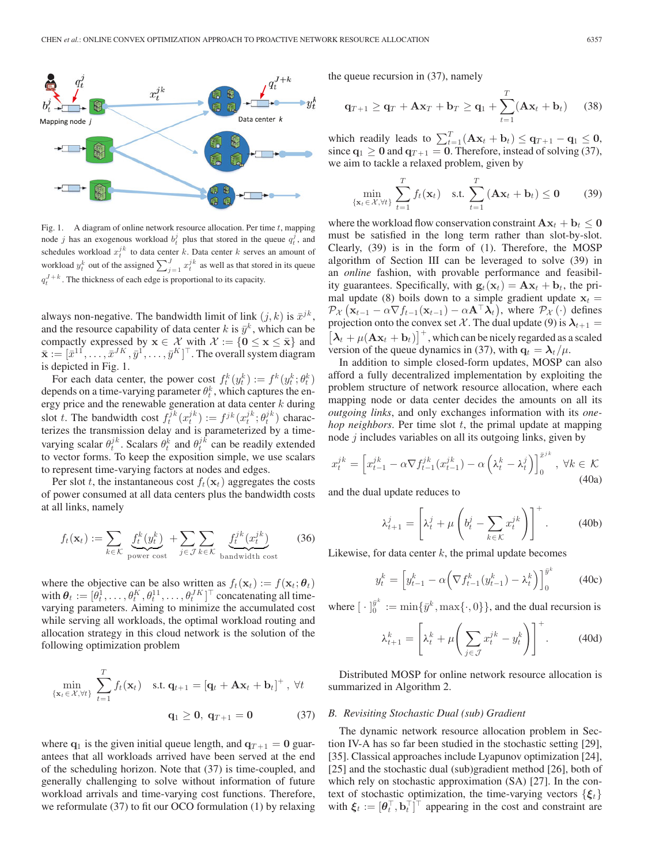

Fig. 1. A diagram of online network resource allocation. Per time  $t$ , mapping node j has an exogenous workload  $b_t^j$  plus that stored in the queue  $q_t^j$ , and schedules workload  $x_t^{j k}$  to data center k. Data center k serves an amount of workload  $y_t^k$  out of the assigned  $\sum_{j=1}^J x_t^{j k}$  as well as that stored in its queue  $q_t^{J+k}$ . The thickness of each edge is proportional to its capacity.

always non-negative. The bandwidth limit of link  $(j, k)$  is  $\bar{x}^{jk}$ , and the resource capability of data center k is  $\bar{y}^k$ , which can be compactly expressed by  $\mathbf{x} \in \mathcal{X}$  with  $\mathcal{X} := \{ \mathbf{0} \leq \mathbf{x} \leq \bar{\mathbf{x}} \}$  and  $\bar{\mathbf{x}} := [\bar{x}^{11} \quad \bar{x}^{JK} \bar{u}^{1} \quad \bar{u}^{K}]^T$ . The overall system diagram  $\bar{\mathbf{x}} := [\bar{x}^{11}, \dots, \bar{x}^{JK}, \bar{y}^1, \dots, \bar{y}^K]^\top$ . The overall system diagram is denicted in Fig. 1 is depicted in Fig. 1.

For each data center, the power cost  $f_t^k(y_t^k) := f^k(y_t^k; \theta_t^k)$ depends on a time-varying parameter  $\theta_t^k$  , which captures the energy price and the renewable generation at data center  $k$  during slot t. The bandwidth cost  $f_t^{jk}(x_t^{jk}) := f^{jk}(x_t^{jk}; \theta_t^{jk})$  characterizes the transmission delay and is parameterized by a timevarying scalar  $\theta_t^{jk}$ . Scalars  $\theta_t^k$  and  $\theta_t^{jk}$  can be readily extended to vector forms. To keep the exposition simple, we use scalars to represent time-varying factors at nodes and edges.

Per slot t, the instantaneous cost  $f_t(\mathbf{x}_t)$  aggregates the costs of power consumed at all data centers plus the bandwidth costs at all links, namely

$$
f_t(\mathbf{x}_t) := \sum_{k \in \mathcal{K}} \underbrace{f_t^k(y_t^k)}_{\text{power cost}} + \sum_{j \in \mathcal{J}} \sum_{k \in \mathcal{K}} \underbrace{f_t^{jk}(x_t^{jk})}_{\text{bandwidth cost}}
$$
(36)

where the objective can be also written as  $f_t(\mathbf{x}_t) := f(\mathbf{x}_t; \boldsymbol{\theta}_t)$ with  $\bm{\theta}_t := [\theta_t^1, \ldots, \theta_t^K, \theta_t^{11}, \ldots, \theta_t^{JK}]^\top$  concatenating all timevarying parameters. Aiming to minimize the accumulated cost while serving all workloads, the optimal workload routing and allocation strategy in this cloud network is the solution of the following optimization problem

$$
\min_{\{\mathbf{x}_t \in \mathcal{X}, \forall t\}} \sum_{t=1}^T f_t(\mathbf{x}_t) \quad \text{s.t. } \mathbf{q}_{t+1} = [\mathbf{q}_t + \mathbf{A}\mathbf{x}_t + \mathbf{b}_t]^+, \ \forall t
$$
\n
$$
\mathbf{q}_1 \ge \mathbf{0}, \ \mathbf{q}_{T+1} = \mathbf{0} \tag{37}
$$

where  $\mathbf{q}_1$  is the given initial queue length, and  $\mathbf{q}_{T+1} = \mathbf{0}$  guarantees that all workloads arrived have been served at the end of the scheduling horizon. Note that (37) is time-coupled, and generally challenging to solve without information of future workload arrivals and time-varying cost functions. Therefore, we reformulate (37) to fit our OCO formulation (1) by relaxing the queue recursion in (37), namely

$$
\mathbf{q}_{T+1} \geq \mathbf{q}_T + \mathbf{A}\mathbf{x}_T + \mathbf{b}_T \geq \mathbf{q}_1 + \sum_{t=1}^T (\mathbf{A}\mathbf{x}_t + \mathbf{b}_t)
$$
 (38)

which readily leads to  $\sum_{t=1}^{T} (\mathbf{A}\mathbf{x}_t + \mathbf{b}_t) \leq \mathbf{q}_{T+1} - \mathbf{q}_1 \leq \mathbf{0}$ ,<br>since  $\mathbf{q}_1 > 0$  and  $\mathbf{q}_{T+1} = \mathbf{0}$ . Therefore, instead of solving (37) since  $\mathbf{q}_1 \geq \mathbf{0}$  and  $\mathbf{q}_{T+1} = \mathbf{0}$ . Therefore, instead of solving (37), we aim to tackle a relaxed problem, given by

$$
\min_{\{\mathbf{x}_t \in \mathcal{X}, \forall t\}} \sum_{t=1}^T f_t(\mathbf{x}_t) \quad \text{s.t.} \sum_{t=1}^T (\mathbf{A}\mathbf{x}_t + \mathbf{b}_t) \le \mathbf{0} \tag{39}
$$

where the workload flow conservation constraint  $A\mathbf{x}_t + \mathbf{b}_t \leq \mathbf{0}$ must be satisfied in the long term rather than slot-by-slot. Clearly, (39) is in the form of (1). Therefore, the MOSP algorithm of Section III can be leveraged to solve (39) in an *online* fashion, with provable performance and feasibility guarantees. Specifically, with  $\mathbf{g}_t(\mathbf{x}_t) = \mathbf{A}\mathbf{x}_t + \mathbf{b}_t$ , the primal update (8) boils down to a simple gradient update  $x_t$  =  $\mathcal{P}_{\mathcal{X}}\left(\mathbf{x}_{t-1} - \alpha \nabla f_{t-1}(\mathbf{x}_{t-1}) - \alpha \mathbf{A}^{\top} \mathbf{\lambda}_{t}\right)$ , where  $\mathcal{P}_{\mathcal{X}}\left(\cdot\right)$  defines projection onto the convex set X. The dual update (9) is  $\lambda_{t+1} =$  $\left[ \lambda_t + \mu(\mathbf{A}\mathbf{x}_t + \mathbf{b}_t) \right]^+$ , which can be nicely regarded as a scaled version of the queue dynamics in (37) with  $\alpha_t = \lambda_t / \mu$ version of the queue dynamics in (37), with  $q_t = \lambda_t / \mu$ .

In addition to simple closed-form updates, MOSP can also afford a fully decentralized implementation by exploiting the problem structure of network resource allocation, where each mapping node or data center decides the amounts on all its *outgoing links*, and only exchanges information with its *onehop neighbors*. Per time slot t, the primal update at mapping node  $j$  includes variables on all its outgoing links, given by

$$
x_t^{jk} = \left[ x_{t-1}^{jk} - \alpha \nabla f_{t-1}^{jk} (x_{t-1}^{jk}) - \alpha \left( \lambda_t^k - \lambda_t^j \right) \right]_0^{\bar{x}^{jk}}, \ \forall k \in \mathcal{K}
$$
\n(40a)

and the dual update reduces to

$$
\lambda_{t+1}^j = \left[ \lambda_t^j + \mu \left( b_t^j - \sum_{k \in \mathcal{K}} x_t^{jk} \right) \right]^+.
$$
 (40b)

Likewise, for data center  $k$ , the primal update becomes

$$
y_t^k = \left[ y_{t-1}^k - \alpha \left( \nabla f_{t-1}^k (y_{t-1}^k) - \lambda_t^k \right) \right]_0^{\bar{y}^k}
$$
 (40c)

where  $[\cdot]_0^{\bar{y}^k} := \min{\{\bar{y}^k, \max{\{\cdot, 0\}}\}}$ , and the dual recursion is

$$
\lambda_{t+1}^k = \left[ \lambda_t^k + \mu \left( \sum_{j \in \mathcal{J}} x_t^{jk} - y_t^k \right) \right]^+.
$$
 (40d)

Distributed MOSP for online network resource allocation is summarized in Algorithm 2.

#### *B. Revisiting Stochastic Dual (sub) Gradient*

The dynamic network resource allocation problem in Section IV-A has so far been studied in the stochastic setting [29], [35]. Classical approaches include Lyapunov optimization [24], [25] and the stochastic dual (sub)gradient method [26], both of which rely on stochastic approximation (SA) [27]. In the context of stochastic optimization, the time-varying vectors  $\{\boldsymbol{\xi}_t\}$ with  $\xi_t := [\theta_t^\top, \mathbf{b}_t^\top]^\top$  appearing in the cost and constraint are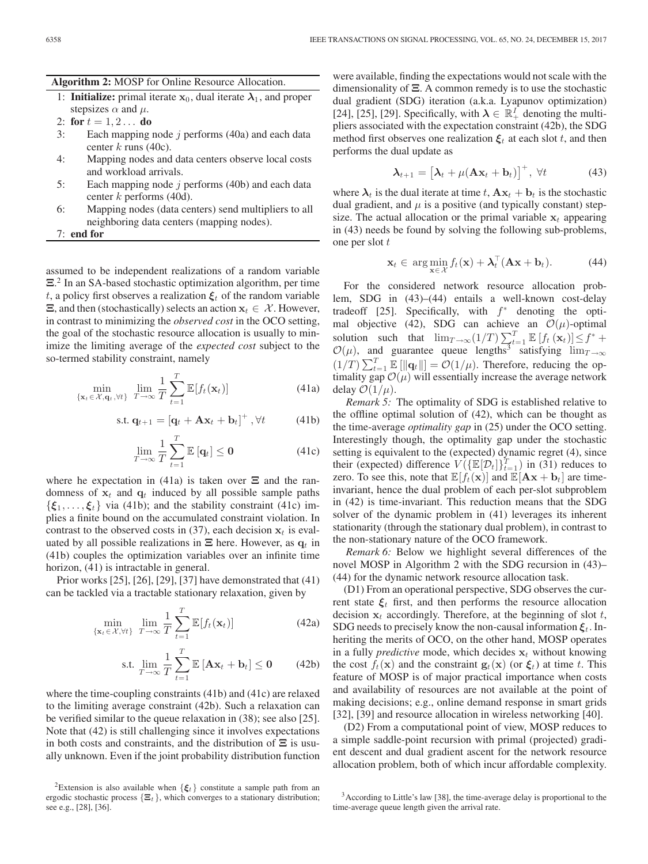# **Algorithm 2:** MOSP for Online Resource Allocation.

- 1: **Initialize:** primal iterate  $x_0$ , dual iterate  $\lambda_1$ , and proper stepsizes  $\alpha$  and  $\mu$ .
- 2: **for**  $t = 1, 2...$  **do**
- 3: Each mapping node j performs  $(40a)$  and each data center  $k$  runs (40c).
- 4: Mapping nodes and data centers observe local costs and workload arrivals.
- 5: Each mapping node  $j$  performs (40b) and each data center  $k$  performs (40d).
- 6: Mapping nodes (data centers) send multipliers to all neighboring data centers (mapping nodes).

7: **end for**

assumed to be independent realizations of a random variable  $\Xi$ <sup>2</sup>. In an SA-based stochastic optimization algorithm, per time  $t_{\text{a}}$  a policy first observes a realization  $\mathcal{E}_{\text{a}}$  of the random variable t, a policy first observes a realization  $\xi_t$  of the random variable  $\Xi$ , and then (stochastically) selects an action  $\mathbf{x}_t \in \mathcal{X}$ . However, in contrast to minimizing the *observed cost* in the OCO setting, the goal of the stochastic resource allocation is usually to minimize the limiting average of the *expected cost* subject to the so-termed stability constraint, namely

$$
\min_{\{\mathbf{x}_t \in \mathcal{X}, \mathbf{q}_t, \forall t\}} \lim_{T \to \infty} \frac{1}{T} \sum_{t=1}^T \mathbb{E}[f_t(\mathbf{x}_t)] \tag{41a}
$$

$$
\text{s.t. } \mathbf{q}_{t+1} = \left[\mathbf{q}_t + \mathbf{A}\mathbf{x}_t + \mathbf{b}_t\right]^+, \forall t \tag{41b}
$$

$$
\lim_{T \to \infty} \frac{1}{T} \sum_{t=1}^{T} \mathbb{E} \left[ \mathbf{q}_t \right] \le \mathbf{0} \tag{41c}
$$

where he expectation in (41a) is taken over **Ξ** and the randomness of  $x_t$  and  $q_t$  induced by all possible sample paths  $\{\boldsymbol{\xi}_1, \ldots, \boldsymbol{\xi}_t\}$  via (41b); and the stability constraint (41c) implies a finite bound on the accumulated constraint violation. In contrast to the observed costs in (37), each decision  $x_t$  is evaluated by all possible realizations in  $\Xi$  here. However, as  $q_t$  in (41b) couples the optimization variables over an infinite time horizon,  $(41)$  is intractable in general.

Prior works [25], [26], [29], [37] have demonstrated that (41) can be tackled via a tractable stationary relaxation, given by

$$
\min_{\{\mathbf{x}_t \in \mathcal{X}, \forall t\}} \lim_{T \to \infty} \frac{1}{T} \sum_{t=1}^T \mathbb{E}[f_t(\mathbf{x}_t)] \tag{42a}
$$

$$
\text{s.t. } \lim_{T \to \infty} \frac{1}{T} \sum_{t=1}^{T} \mathbb{E} \left[ \mathbf{A} \mathbf{x}_t + \mathbf{b}_t \right] \le \mathbf{0} \tag{42b}
$$

where the time-coupling constraints (41b) and (41c) are relaxed to the limiting average constraint (42b). Such a relaxation can be verified similar to the queue relaxation in (38); see also [25]. Note that (42) is still challenging since it involves expectations in both costs and constraints, and the distribution of **Ξ** is usually unknown. Even if the joint probability distribution function were available, finding the expectations would not scale with the dimensionality of **Ξ**. A common remedy is to use the stochastic dual gradient (SDG) iteration (a.k.a. Lyapunov optimization) [24], [25], [29]. Specifically, with  $\lambda \in \mathbb{R}^I_+$  denoting the multipliers associated with the expectation constraint (42b), the SDG method first observes one realization  $\xi_t$  at each slot t, and then performs the dual update as

$$
\boldsymbol{\lambda}_{t+1} = \left[ \boldsymbol{\lambda}_t + \mu (\mathbf{A} \mathbf{x}_t + \mathbf{b}_t) \right]^+, \forall t \tag{43}
$$

where  $\lambda_t$  is the dual iterate at time t,  $A\mathbf{x}_t + \mathbf{b}_t$  is the stochastic dual gradient, and  $\mu$  is a positive (and typically constant) stepsize. The actual allocation or the primal variable  $x_t$  appearing in (43) needs be found by solving the following sub-problems, one per slot  $t$ 

$$
\mathbf{x}_t \in \arg\min_{\mathbf{x} \in \mathcal{X}} f_t(\mathbf{x}) + \boldsymbol{\lambda}_t^{\top} (\mathbf{A}\mathbf{x} + \mathbf{b}_t). \tag{44}
$$

For the considered network resource allocation problem, SDG in (43)–(44) entails a well-known cost-delay tradeoff [25]. Specifically, with  $f^*$  denoting the optimal objective (42), SDG can achieve an  $\mathcal{O}(\mu)$ -optimal solution such that  $\lim_{T \to \infty} (1/T) \sum_{t=1}^{T} \mathbb{E} [f_t(\mathbf{x}_t)] \leq f^* + \mathcal{O}(\mu)$ , and guarantee queue lengths<sup>3</sup> satisfying  $\lim_{T \to \infty}$  $(1/T) \sum_{t=1}^{T} \mathbb{E}[\|\mathbf{q}_t\|] = \mathcal{O}(1/\mu)$ . Therefore, reducing the op-<br>timality gan  $\mathcal{O}(u)$  will essentially increase the average network timality gap  $\mathcal{O}(\mu)$  will essentially increase the average network delay  $\mathcal{O}(1/\mu)$ .

*Remark 5:* The optimality of SDG is established relative to the offline optimal solution of (42), which can be thought as the time-average *optimality gap* in (25) under the OCO setting. Interestingly though, the optimality gap under the stochastic setting is equivalent to the (expected) dynamic regret (4), since their (expected) difference  $V(\{\mathbb{E}[\mathcal{D}_t]\}_{t=1}^T)$  in (31) reduces to zero. To see this, note that  $\mathbb{E}[f_t(\mathbf{x})]$  and  $\mathbb{E}[\mathbf{A}\mathbf{x} + \mathbf{b}_t]$  are timeinvariant, hence the dual problem of each per-slot subproblem in (42) is time-invariant. This reduction means that the SDG solver of the dynamic problem in (41) leverages its inherent stationarity (through the stationary dual problem), in contrast to the non-stationary nature of the OCO framework.

*Remark 6:* Below we highlight several differences of the novel MOSP in Algorithm 2 with the SDG recursion in (43)– (44) for the dynamic network resource allocation task.

(D1) From an operational perspective, SDG observes the current state  $\xi_t$  first, and then performs the resource allocation decision  $x_t$  accordingly. Therefore, at the beginning of slot  $t$ , SDG needs to precisely know the non-causal information  $\xi_t$ . Inheriting the merits of OCO, on the other hand, MOSP operates in a fully *predictive* mode, which decides  $x_t$  without knowing the cost  $f_t(\mathbf{x})$  and the constraint  $\mathbf{g}_t(\mathbf{x})$  (or  $\xi_t$ ) at time t. This feature of MOSP is of major practical importance when costs and availability of resources are not available at the point of making decisions; e.g., online demand response in smart grids [32], [39] and resource allocation in wireless networking [40].

(D2) From a computational point of view, MOSP reduces to a simple saddle-point recursion with primal (projected) gradient descent and dual gradient ascent for the network resource allocation problem, both of which incur affordable complexity.

<sup>&</sup>lt;sup>2</sup>Extension is also available when  $\{\boldsymbol{\xi}_t\}$  constitute a sample path from an ergodic stochastic process  $\{\Xi_t\}$ , which converges to a stationary distribution; see e.g., [28], [36].

<sup>3</sup>According to Little's law [38], the time-average delay is proportional to the time-average queue length given the arrival rate.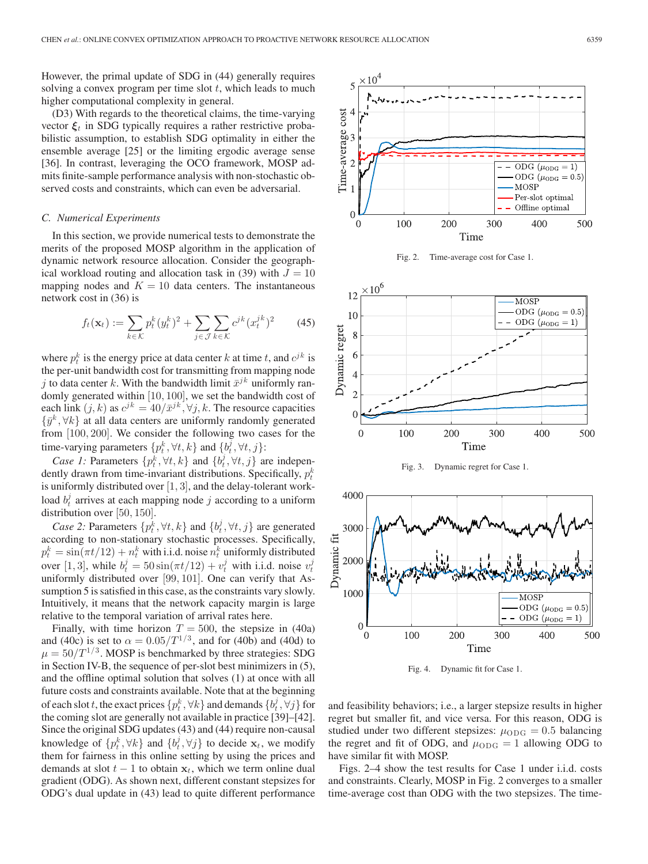However, the primal update of SDG in (44) generally requires solving a convex program per time slot  $t$ , which leads to much higher computational complexity in general.

(D3) With regards to the theoretical claims, the time-varying vector  $\xi_t$  in SDG typically requires a rather restrictive probabilistic assumption, to establish SDG optimality in either the ensemble average [25] or the limiting ergodic average sense [36]. In contrast, leveraging the OCO framework, MOSP admits finite-sample performance analysis with non-stochastic observed costs and constraints, which can even be adversarial.

#### *C. Numerical Experiments*

In this section, we provide numerical tests to demonstrate the merits of the proposed MOSP algorithm in the application of dynamic network resource allocation. Consider the geographical workload routing and allocation task in (39) with  $J = 10$ mapping nodes and  $K = 10$  data centers. The instantaneous network cost in (36) is

$$
f_t(\mathbf{x}_t) := \sum_{k \in \mathcal{K}} p_t^k (y_t^k)^2 + \sum_{j \in \mathcal{J}} \sum_{k \in \mathcal{K}} c^{jk} (x_t^{jk})^2 \qquad (45)
$$

where  $p_t^k$  is the energy price at data center k at time t, and  $c^{jk}$  is the per-unit bandwidth cost for transmitting from mapping node j to data center k. With the bandwidth limit  $\bar{x}^{jk}$  uniformly randomly generated within [10, 100], we set the bandwidth cost of each link  $(j, k)$  as  $c^{jk} = 40/\bar{x}^{jk}$ ,  $\forall j, k$ . The resource capacities  $\{\bar{y}^k, \forall k\}$  at all data centers are uniformly randomly generated from [100, 200]. We consider the following two cases for the time-varying parameters  $\{p_t^k, \forall t, k\}$  and  $\{b_t^j, \forall t, j\}$ :

*Case 1:* Parameters  $\{p_t^k, \forall t, k\}$  and  $\{b_t^j, \forall t, j\}$  are independently drawn from time-invariant distributions. Specifically,  $p_t^k$ is uniformly distributed over  $[1, 3]$ , and the delay-tolerant workload  $b_t^j$  arrives at each mapping node j according to a uniform distribution over [50, 150].

*Case 2:* Parameters  $\{p_t^k, \forall t, k\}$  and  $\{b_t^j, \forall t, j\}$  are generated according to non-stationary stochastic processes. Specifically,  $p_t^k = \sin(\pi t/12) + n_t^k$  with i.i.d. noise  $n_t^k$  uniformly distributed over [1, 3], while  $b_t^j = 50 \sin(\pi t/12) + v_t^j$  with i.i.d. noise  $v_t^j$ uniformly distributed over [99, 101]. One can verify that Assumption 5 is satisfied in this case, as the constraints vary slowly. Intuitively, it means that the network capacity margin is large relative to the temporal variation of arrival rates here.

Finally, with time horizon  $T = 500$ , the stepsize in (40a) and (40c) is set to  $\alpha = 0.05/T^{1/3}$ , and for (40b) and (40d) to  $\mu = 50/T^{1/3}$ . MOSP is benchmarked by three strategies: SDG in Section IV-B, the sequence of per-slot best minimizers in (5), and the offline optimal solution that solves (1) at once with all future costs and constraints available. Note that at the beginning of each slot  $t$ , the exact prices  $\{p_t^k, \forall k\}$  and demands  $\{b_t^j, \forall j\}$  for the coming slot are generally not available in practice [39]–[42]. Since the original SDG updates (43) and (44) require non-causal knowledge of  $\{p_t^k, \forall k\}$  and  $\{b_t^j, \forall j\}$  to decide  $\mathbf{x}_t$ , we modify them for fairness in this online setting by using the prices and them for fairness in this online setting by using the prices and demands at slot  $t - 1$  to obtain  $x_t$ , which we term online dual gradient (ODG). As shown next, different constant stepsizes for ODG's dual update in (43) lead to quite different performance



Fig. 2. Time-average cost for Case 1.



Fig. 3. Dynamic regret for Case 1.



Fig. 4. Dynamic fit for Case 1.

and feasibility behaviors; i.e., a larger stepsize results in higher regret but smaller fit, and vice versa. For this reason, ODG is studied under two different stepsizes:  $\mu_{\text{ODG}} = 0.5$  balancing the regret and fit of ODG, and  $\mu_{ODG} = 1$  allowing ODG to have similar fit with MOSP.

Figs. 2–4 show the test results for Case 1 under i.i.d. costs and constraints. Clearly, MOSP in Fig. 2 converges to a smaller time-average cost than ODG with the two stepsizes. The time-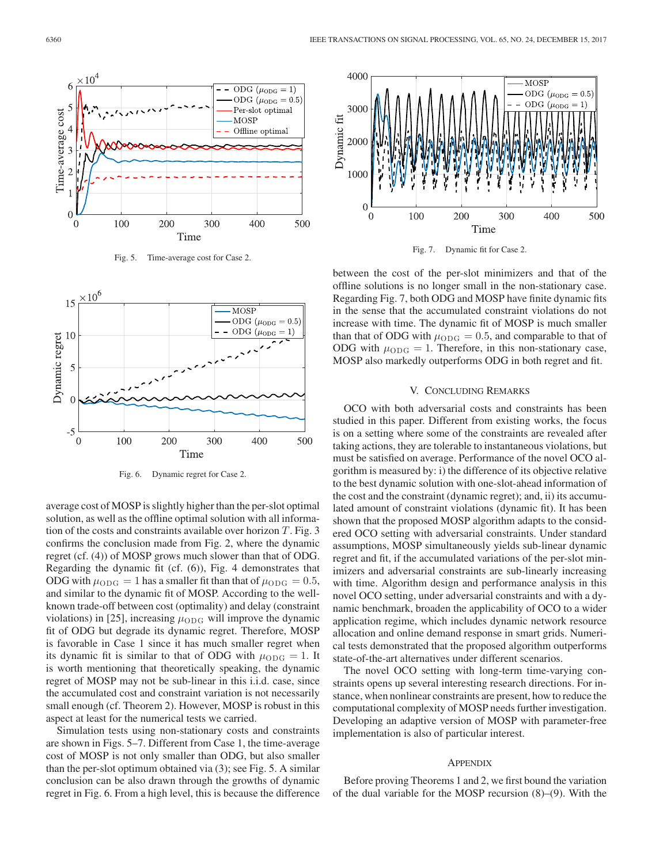

Fig. 5. Time-average cost for Case 2.



Fig. 6. Dynamic regret for Case 2.

average cost of MOSP is slightly higher than the per-slot optimal solution, as well as the offline optimal solution with all information of the costs and constraints available over horizon  $T$ . Fig. 3 confirms the conclusion made from Fig. 2, where the dynamic regret (cf. (4)) of MOSP grows much slower than that of ODG. Regarding the dynamic fit (cf. (6)), Fig. 4 demonstrates that ODG with  $\mu_{\text{ODG}} = 1$  has a smaller fit than that of  $\mu_{\text{ODG}} = 0.5$ , and similar to the dynamic fit of MOSP. According to the wellknown trade-off between cost (optimality) and delay (constraint violations) in [25], increasing  $\mu_{ODG}$  will improve the dynamic fit of ODG but degrade its dynamic regret. Therefore, MOSP is favorable in Case 1 since it has much smaller regret when its dynamic fit is similar to that of ODG with  $\mu_{ODG} = 1$ . It is worth mentioning that theoretically speaking, the dynamic regret of MOSP may not be sub-linear in this i.i.d. case, since the accumulated cost and constraint variation is not necessarily small enough (cf. Theorem 2). However, MOSP is robust in this aspect at least for the numerical tests we carried.

Simulation tests using non-stationary costs and constraints are shown in Figs. 5–7. Different from Case 1, the time-average cost of MOSP is not only smaller than ODG, but also smaller than the per-slot optimum obtained via (3); see Fig. 5. A similar conclusion can be also drawn through the growths of dynamic regret in Fig. 6. From a high level, this is because the difference



Fig. 7. Dynamic fit for Case 2.

between the cost of the per-slot minimizers and that of the offline solutions is no longer small in the non-stationary case. Regarding Fig. 7, both ODG and MOSP have finite dynamic fits in the sense that the accumulated constraint violations do not increase with time. The dynamic fit of MOSP is much smaller than that of ODG with  $\mu_{ODG} = 0.5$ , and comparable to that of ODG with  $\mu_{ODG} = 1$ . Therefore, in this non-stationary case, MOSP also markedly outperforms ODG in both regret and fit.

#### V. CONCLUDING REMARKS

OCO with both adversarial costs and constraints has been studied in this paper. Different from existing works, the focus is on a setting where some of the constraints are revealed after taking actions, they are tolerable to instantaneous violations, but must be satisfied on average. Performance of the novel OCO algorithm is measured by: i) the difference of its objective relative to the best dynamic solution with one-slot-ahead information of the cost and the constraint (dynamic regret); and, ii) its accumulated amount of constraint violations (dynamic fit). It has been shown that the proposed MOSP algorithm adapts to the considered OCO setting with adversarial constraints. Under standard assumptions, MOSP simultaneously yields sub-linear dynamic regret and fit, if the accumulated variations of the per-slot minimizers and adversarial constraints are sub-linearly increasing with time. Algorithm design and performance analysis in this novel OCO setting, under adversarial constraints and with a dynamic benchmark, broaden the applicability of OCO to a wider application regime, which includes dynamic network resource allocation and online demand response in smart grids. Numerical tests demonstrated that the proposed algorithm outperforms state-of-the-art alternatives under different scenarios.

The novel OCO setting with long-term time-varying constraints opens up several interesting research directions. For instance, when nonlinear constraints are present, how to reduce the computational complexity of MOSP needs further investigation. Developing an adaptive version of MOSP with parameter-free implementation is also of particular interest.

#### **APPENDIX**

Before proving Theorems 1 and 2, we first bound the variation of the dual variable for the MOSP recursion (8)–(9). With the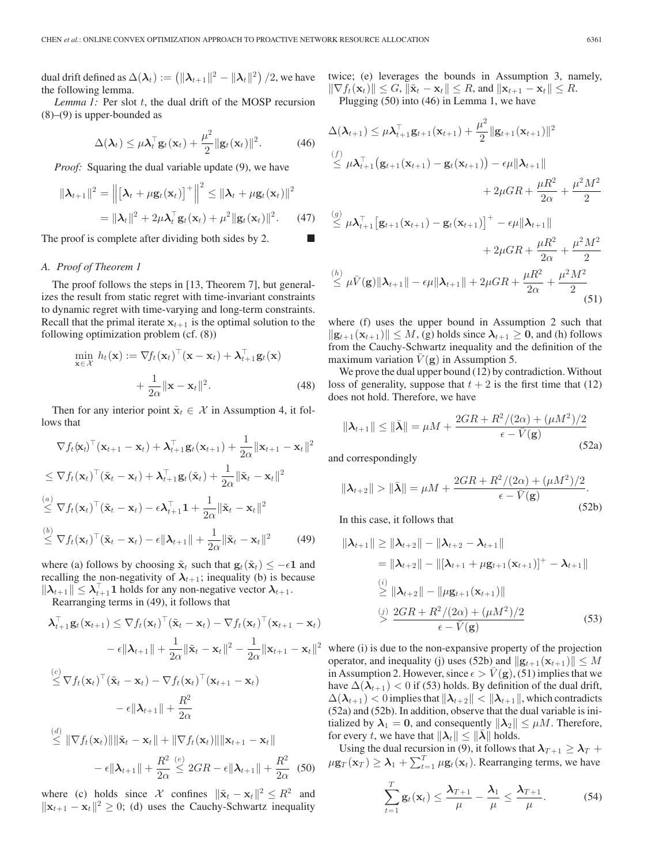dual drift defined as  $\Delta(\bm{\lambda}_t) := \left(\|\bm{\lambda}_{t+1}\|^2 - \|\bm{\lambda}_{t}\|^2\right)/2,$  we have the following lemma.

*Lemma 1:* Per slot t, the dual drift of the MOSP recursion (8)–(9) is upper-bounded as

$$
\Delta(\boldsymbol{\lambda}_t) \leq \mu \boldsymbol{\lambda}_t^{\top} \mathbf{g}_t(\mathbf{x}_t) + \frac{\mu^2}{2} ||\mathbf{g}_t(\mathbf{x}_t)||^2.
$$
 (46)

*Proof:* Squaring the dual variable update (9), we have

$$
\|\boldsymbol{\lambda}_{t+1}\|^2 = \left\| \left[\boldsymbol{\lambda}_t + \mu \mathbf{g}_t(\mathbf{x}_t) \right]^+ \right\|^2 \leq \|\boldsymbol{\lambda}_t + \mu \mathbf{g}_t(\mathbf{x}_t)\|^2
$$

$$
= \|\boldsymbol{\lambda}_t\|^2 + 2\mu \boldsymbol{\lambda}_t^{\top} \mathbf{g}_t(\mathbf{x}_t) + \mu^2 \|\mathbf{g}_t(\mathbf{x}_t)\|^2. \tag{47}
$$

The proof is complete after dividing both sides by 2.

#### *A. Proof of Theorem 1*

The proof follows the steps in [13, Theorem 7], but generalizes the result from static regret with time-invariant constraints to dynamic regret with time-varying and long-term constraints. Recall that the primal iterate  $x_{t+1}$  is the optimal solution to the following optimization problem (cf. (8))

$$
\min_{\mathbf{x} \in \mathcal{X}} h_t(\mathbf{x}) := \nabla f_t(\mathbf{x}_t)^\top (\mathbf{x} - \mathbf{x}_t) + \boldsymbol{\lambda}_{t+1}^\top \mathbf{g}_t(\mathbf{x}) \n+ \frac{1}{2\alpha} ||\mathbf{x} - \mathbf{x}_t||^2.
$$
\n(48)

Then for any interior point  $\tilde{\mathbf{x}}_t \in \mathcal{X}$  in Assumption 4, it follows that

$$
\nabla f_t(\mathbf{x}_t)^\top (\mathbf{x}_{t+1} - \mathbf{x}_t) + \boldsymbol{\lambda}_{t+1}^\top \mathbf{g}_t(\mathbf{x}_{t+1}) + \frac{1}{2\alpha} ||\mathbf{x}_{t+1} - \mathbf{x}_t||^2
$$
  
\n
$$
\leq \nabla f_t(\mathbf{x}_t)^\top (\tilde{\mathbf{x}}_t - \mathbf{x}_t) + \boldsymbol{\lambda}_{t+1}^\top \mathbf{g}_t(\tilde{\mathbf{x}}_t) + \frac{1}{2\alpha} ||\tilde{\mathbf{x}}_t - \mathbf{x}_t||^2
$$
  
\n
$$
\stackrel{(a)}{\leq} \nabla f_t(\mathbf{x}_t)^\top (\tilde{\mathbf{x}}_t - \mathbf{x}_t) - \epsilon \boldsymbol{\lambda}_{t+1}^\top \mathbf{1} + \frac{1}{2\alpha} ||\tilde{\mathbf{x}}_t - \mathbf{x}_t||^2
$$
  
\n
$$
\stackrel{(b)}{\leq} \nabla f_t(\mathbf{x}_t)^\top (\tilde{\mathbf{x}}_t - \mathbf{x}_t) - \epsilon ||\boldsymbol{\lambda}_{t+1}|| + \frac{1}{2\alpha} ||\tilde{\mathbf{x}}_t - \mathbf{x}_t||^2
$$
 (49)

where (a) follows by choosing  $\tilde{\mathbf{x}}_t$  such that  $\mathbf{g}_t(\tilde{\mathbf{x}}_t) \le -\epsilon \mathbf{1}$  and recalling the non-negativity of  $\lambda_{t+1}$ ; inequality (b) is because

 $||\lambda_{t+1}|| \leq \lambda_{t+1}^{\top}$ **1** holds for any non-negative vector  $\lambda_{t+1}$ .<br>Regarding terms in (49) it follows that Rearranging terms in (49), it follows that

$$
\lambda_{t+1}^{\top} \mathbf{g}_t(\mathbf{x}_{t+1}) \leq \nabla f_t(\mathbf{x}_t)^{\top} (\tilde{\mathbf{x}}_t - \mathbf{x}_t) - \nabla f_t(\mathbf{x}_t)^{\top} (\mathbf{x}_{t+1} - \mathbf{x}_t)
$$

$$
- \epsilon \|\lambda_{t+1}\| + \frac{1}{2\alpha} \|\tilde{\mathbf{x}}_t - \mathbf{x}_t\|^2 - \frac{1}{2\alpha} \|\mathbf{x}_{t+1} - \mathbf{x}_t\|^2
$$

$$
\leq \nabla f_t(\mathbf{x}_t)^{\top} (\tilde{\mathbf{x}}_t - \mathbf{x}_t) - \nabla f_t(\mathbf{x}_t)^{\top} (\mathbf{x}_{t+1} - \mathbf{x}_t)
$$

$$
- \epsilon \|\lambda_{t+1}\| + \frac{R^2}{2\alpha}
$$

$$
\leq \|\nabla f_t(\mathbf{x}_t)\| \|\tilde{\mathbf{x}}_t - \mathbf{x}_t\| + \|\nabla f_t(\mathbf{x}_t)\| \|\mathbf{x}_{t+1} - \mathbf{x}_t\|
$$

 $-\epsilon \|\boldsymbol{\lambda}_{t+1}\| + \frac{R^2}{2\epsilon}$  $2\alpha$  $\stackrel{(e)}{\leq} 2GR - \epsilon \|\lambda_{t+1}\| + \frac{R^2}{2\epsilon}$  $rac{1}{2\alpha}$  (50)

where (c) holds since X confines  $\|\tilde{\mathbf{x}}_t - \mathbf{x}_t\|^2 \leq R^2$  and  $\|\mathbf{x}_{t+1} - \mathbf{x}_t\|^2 \geq 0$ ; (d) uses the Cauchy-Schwartz inequality

twice; (e) leverages the bounds in Assumption 3, namely,  $\|\nabla f_t(\mathbf{x}_t)\| \leq G, \|\tilde{\mathbf{x}}_t - \mathbf{x}_t\| \leq R$ , and  $\|\mathbf{x}_{t+1} - \mathbf{x}_t\| \leq R$ .

Plugging (50) into (46) in Lemma 1, we have

$$
\Delta(\lambda_{t+1}) \leq \mu \lambda_{t+1}^{\top} \mathbf{g}_{t+1}(\mathbf{x}_{t+1}) + \frac{\mu^2}{2} ||\mathbf{g}_{t+1}(\mathbf{x}_{t+1})||^2
$$
\n
$$
\leq \mu \lambda_{t+1}^{\top} \left( \mathbf{g}_{t+1}(\mathbf{x}_{t+1}) - \mathbf{g}_t(\mathbf{x}_{t+1}) \right) - \epsilon \mu ||\mathbf{\lambda}_{t+1}||
$$
\n
$$
+ 2\mu GR + \frac{\mu R^2}{2\alpha} + \frac{\mu^2 M^2}{2}
$$
\n
$$
\leq \mu \lambda_{t+1}^{\top} \left[ \mathbf{g}_{t+1}(\mathbf{x}_{t+1}) - \mathbf{g}_t(\mathbf{x}_{t+1}) \right]^+ - \epsilon \mu ||\mathbf{\lambda}_{t+1}||
$$
\n
$$
+ 2\mu GR + \frac{\mu R^2}{2\alpha} + \frac{\mu^2 M^2}{2}
$$
\n
$$
\leq \mu \bar{V}(\mathbf{g}) ||\mathbf{\lambda}_{t+1}|| - \epsilon \mu ||\mathbf{\lambda}_{t+1}|| + 2\mu GR + \frac{\mu R^2}{2\alpha} + \frac{\mu^2 M^2}{2}
$$
\n(51)

where (f) uses the upper bound in Assumption 2 such that  $\|\mathbf{g}_{t+1}(\mathbf{x}_{t+1})\| \leq M$ , (g) holds since  $\lambda_{t+1} \geq 0$ , and (h) follows from the Cauchy-Schwartz inequality and the definition of the maximum variation  $V(\mathbf{g})$  in Assumption 5.

We prove the dual upper bound (12) by contradiction. Without loss of generality, suppose that  $t + 2$  is the first time that (12) does not hold. Therefore, we have

$$
\|\lambda_{t+1}\| \le \|\bar{\lambda}\| = \mu M + \frac{2GR + R^2/(2\alpha) + (\mu M^2)/2}{\epsilon - \bar{V}(\mathbf{g})}
$$
(52a)

and correspondingly

$$
\|\lambda_{t+2}\| > \|\bar{\lambda}\| = \mu M + \frac{2GR + R^2/(2\alpha) + (\mu M^2)/2}{\epsilon - \bar{V}(\mathbf{g})}.
$$
\n(52b)

In this case, it follows that

$$
\|\lambda_{t+1}\| \geq \|\lambda_{t+2}\| - \|\lambda_{t+2} - \lambda_{t+1}\|
$$
  
\n
$$
= \|\lambda_{t+2}\| - \|[\lambda_{t+1} + \mu \mathbf{g}_{t+1}(\mathbf{x}_{t+1})]^+ - \lambda_{t+1}\|
$$
  
\n
$$
\overset{(i)}{\geq} \|\lambda_{t+2}\| - \|\mu \mathbf{g}_{t+1}(\mathbf{x}_{t+1})\|
$$
  
\n
$$
\overset{(j)}{\geq} \frac{2GR + R^2/(2\alpha) + (\mu M^2)/2}{\epsilon - \bar{V}(\mathbf{g})}
$$
 (53)

where (i) is due to the non-expansive property of the projection operator, and inequality (j) uses (52b) and  $\|\mathbf{g}_{t+1}(\mathbf{x}_{t+1})\| \leq M$ in Assumption 2. However, since  $\epsilon > V(g)$ , (51) implies that we have  $\Delta(\lambda_{t+1})$  < 0 if (53) holds. By definition of the dual drift,  $\Delta(\lambda_{t+1}) < 0$  implies that  $\|\lambda_{t+2}\| < \|\lambda_{t+1}\|$ , which contradicts (52a) and (52b). In addition, observe that the dual variable is initialized by  $\lambda_1 = 0$ , and consequently  $\|\lambda_2\| \leq \mu M$ . Therefore, for every t, we have that  $\|\lambda_t\| \leq \|\lambda\|$  holds.

Using the dual recursion in (9), it follows that  $\lambda_{T+1} \geq \lambda_T +$  $\mu$ **g**<sub>T</sub> (**x**<sub>T</sub>)  $\geq \lambda_1 + \sum_{t=1}^T \mu$ **g**<sub>t</sub>(**x**<sub>t</sub>). Rearranging terms, we have

$$
\sum_{t=1}^{T} \mathbf{g}_t(\mathbf{x}_t) \leq \frac{\boldsymbol{\lambda}_{T+1}}{\mu} - \frac{\boldsymbol{\lambda}_1}{\mu} \leq \frac{\boldsymbol{\lambda}_{T+1}}{\mu}.
$$
 (54)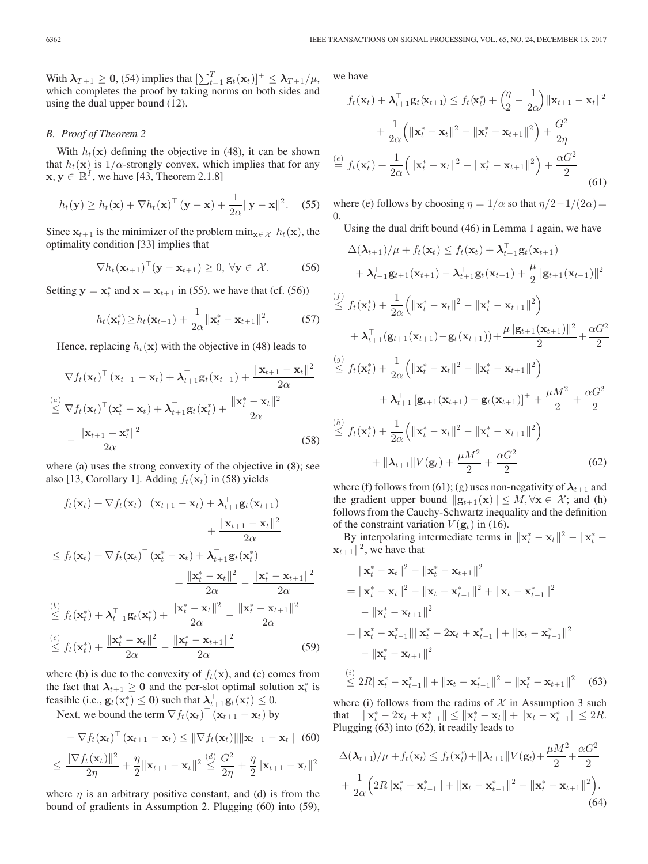With  $\lambda_{T+1} \ge 0$ , (54) implies that  $\left[\sum_{t=1}^{T} g_t(\mathbf{x}_t)\right]^+ \le \lambda_{T+1}/\mu$ , which completes the proof by taking norms on both sides and which completes the proof by taking norms on both sides and using the dual upper bound (12).

# *B. Proof of Theorem 2*

With  $h_t(\mathbf{x})$  defining the objective in (48), it can be shown that  $h_t(\mathbf{x})$  is  $1/\alpha$ -strongly convex, which implies that for any  $\mathbf{x}, \mathbf{y} \in \mathbb{R}^I$ , we have [43, Theorem 2.1.8]

$$
h_t(\mathbf{y}) \ge h_t(\mathbf{x}) + \nabla h_t(\mathbf{x})^\top (\mathbf{y} - \mathbf{x}) + \frac{1}{2\alpha} ||\mathbf{y} - \mathbf{x}||^2. \quad (55)
$$

Since  $\mathbf{x}_{t+1}$  is the minimizer of the problem  $\min_{\mathbf{x} \in \mathcal{X}} h_t(\mathbf{x})$ , the optimality condition [33] implies that

$$
\nabla h_t(\mathbf{x}_{t+1})^\top(\mathbf{y}-\mathbf{x}_{t+1})\geq 0, \,\forall \mathbf{y}\in\mathcal{X}.\tag{56}
$$

Setting  $y = x_t^*$  and  $x = x_{t+1}$  in (55), we have that (cf. (56))

$$
h_t(\mathbf{x}_t^*) \ge h_t(\mathbf{x}_{t+1}) + \frac{1}{2\alpha} ||\mathbf{x}_t^* - \mathbf{x}_{t+1}||^2.
$$
 (57)

Hence, replacing  $h_t(\mathbf{x})$  with the objective in (48) leads to

$$
\nabla f_t(\mathbf{x}_t)^\top (\mathbf{x}_{t+1} - \mathbf{x}_t) + \boldsymbol{\lambda}_{t+1}^\top \mathbf{g}_t(\mathbf{x}_{t+1}) + \frac{\|\mathbf{x}_{t+1} - \mathbf{x}_t\|^2}{2\alpha}
$$
  
\n
$$
\leq \nabla f_t(\mathbf{x}_t)^\top (\mathbf{x}_t^* - \mathbf{x}_t) + \boldsymbol{\lambda}_{t+1}^\top \mathbf{g}_t(\mathbf{x}_t^*) + \frac{\|\mathbf{x}_t^* - \mathbf{x}_t\|^2}{2\alpha}
$$
  
\n
$$
- \frac{\|\mathbf{x}_{t+1} - \mathbf{x}_t^*\|^2}{2\alpha}
$$
\n(58)

where (a) uses the strong convexity of the objective in  $(8)$ ; see also [13, Corollary 1]. Adding  $f_t(\mathbf{x}_t)$  in (58) yields

$$
f_t(\mathbf{x}_t) + \nabla f_t(\mathbf{x}_t)^\top (\mathbf{x}_{t+1} - \mathbf{x}_t) + \lambda_{t+1}^\top \mathbf{g}_t(\mathbf{x}_{t+1})
$$
  
+ 
$$
\frac{\|\mathbf{x}_{t+1} - \mathbf{x}_t\|^2}{2\alpha}
$$
  

$$
\leq f_t(\mathbf{x}_t) + \nabla f_t(\mathbf{x}_t)^\top (\mathbf{x}_t^* - \mathbf{x}_t) + \lambda_{t+1}^\top \mathbf{g}_t(\mathbf{x}_t^*)
$$
  
+ 
$$
\frac{\|\mathbf{x}_t^* - \mathbf{x}_t\|^2}{2\alpha} - \frac{\|\mathbf{x}_t^* - \mathbf{x}_{t+1}\|^2}{2\alpha}
$$
  

$$
\stackrel{(b)}{\leq} f_t(\mathbf{x}_t^*) + \lambda_{t+1}^\top \mathbf{g}_t(\mathbf{x}_t^*) + \frac{\|\mathbf{x}_t^* - \mathbf{x}_t\|^2}{2\alpha} - \frac{\|\mathbf{x}_t^* - \mathbf{x}_{t+1}\|^2}{2\alpha}
$$
  

$$
\stackrel{(c)}{\leq} f_t(\mathbf{x}_t^*) + \frac{\|\mathbf{x}_t^* - \mathbf{x}_t\|^2}{2\alpha} - \frac{\|\mathbf{x}_t^* - \mathbf{x}_{t+1}\|^2}{2\alpha}
$$
  
(59)

where (b) is due to the convexity of  $f_t(\mathbf{x})$ , and (c) comes from the fact that  $\lambda_{t+1} \ge 0$  and the per-slot optimal solution  $\mathbf{x}_t^*$  is<br>feasible (i.e.,  $\mathbf{x}_t(\mathbf{x}^*) < 0$ ) such that  $\lambda^\top$ ,  $\mathbf{x}_t(\mathbf{x}^*) < 0$ feasible (i.e.,  $\mathbf{g}_t(\mathbf{x}_t^*) \leq \mathbf{0}$ ) such that  $\boldsymbol{\lambda}_{t+1}^{\top} \mathbf{g}_t(\mathbf{x}_t^*) \leq 0$ .<br>Next, we bound the term  $\nabla f(\mathbf{x}_t)^\top (\mathbf{x}_t, \mathbf{x}_t - \mathbf{x}_t)$  by

Next, we bound the term  $\nabla f_t(\mathbf{x}_t)^\top (\mathbf{x}_{t+1} - \mathbf{x}_t)$  by

$$
-\nabla f_t(\mathbf{x}_t)^\top (\mathbf{x}_{t+1} - \mathbf{x}_t) \leq \|\nabla f_t(\mathbf{x}_t)\| \|\mathbf{x}_{t+1} - \mathbf{x}_t\| \tag{60}
$$

$$
\leq \frac{\|\nabla f_t(\mathbf{x}_t)\|^2}{2\eta} + \frac{\eta}{2}\|\mathbf{x}_{t+1} - \mathbf{x}_t\|^2 \overset{(d)}{\leq} \frac{G^2}{2\eta} + \frac{\eta}{2}\|\mathbf{x}_{t+1} - \mathbf{x}_t\|^2
$$

where  $\eta$  is an arbitrary positive constant, and (d) is from the bound of gradients in Assumption 2. Plugging (60) into (59), we have

$$
f_t(\mathbf{x}_t) + \lambda_{t+1}^{\top} \mathbf{g}_t(\mathbf{x}_{t+1}) \le f_t(\mathbf{x}_t^*) + \left(\frac{\eta}{2} - \frac{1}{2\alpha}\right) ||\mathbf{x}_{t+1} - \mathbf{x}_t||^2
$$
  
+  $\frac{1}{2\alpha} (||\mathbf{x}_t^* - \mathbf{x}_t||^2 - ||\mathbf{x}_t^* - \mathbf{x}_{t+1}||^2) + \frac{G^2}{2\eta}$   
 $\stackrel{(e)}{=} f_t(\mathbf{x}_t^*) + \frac{1}{2\alpha} (||\mathbf{x}_t^* - \mathbf{x}_t||^2 - ||\mathbf{x}_t^* - \mathbf{x}_{t+1}||^2) + \frac{\alpha G^2}{2}$  (61)

where (e) follows by choosing  $\eta = 1/\alpha$  so that  $\eta/2-1/(2\alpha)$ 0.

Using the dual drift bound (46) in Lemma 1 again, we have

$$
\Delta(\lambda_{t+1})/\mu + f_t(\mathbf{x}_t) \leq f_t(\mathbf{x}_t) + \lambda_{t+1}^{\top} \mathbf{g}_t(\mathbf{x}_{t+1}) \n+ \lambda_{t+1}^{\top} \mathbf{g}_{t+1}(\mathbf{x}_{t+1}) - \lambda_{t+1}^{\top} \mathbf{g}_t(\mathbf{x}_{t+1}) + \frac{\mu}{2} ||\mathbf{g}_{t+1}(\mathbf{x}_{t+1})||^2 \n\leq f_t(\mathbf{x}_t^*) + \frac{1}{2\alpha} (||\mathbf{x}_t^* - \mathbf{x}_t||^2 - ||\mathbf{x}_t^* - \mathbf{x}_{t+1}||^2) \n+ \lambda_{t+1}^{\top} (\mathbf{g}_{t+1}(\mathbf{x}_{t+1}) - \mathbf{g}_t(\mathbf{x}_{t+1})) + \frac{\mu ||\mathbf{g}_{t+1}(\mathbf{x}_{t+1})||^2}{2} + \frac{\alpha G^2}{2} \n\leq f_t(\mathbf{x}_t^*) + \frac{1}{2\alpha} (||\mathbf{x}_t^* - \mathbf{x}_t||^2 - ||\mathbf{x}_t^* - \mathbf{x}_{t+1}||^2) \n+ \lambda_{t+1}^{\top} [\mathbf{g}_{t+1}(\mathbf{x}_{t+1}) - \mathbf{g}_t(\mathbf{x}_{t+1})]^+ + \frac{\mu M^2}{2} + \frac{\alpha G^2}{2} \n\leq f_t(\mathbf{x}_t^*) + \frac{1}{2\alpha} (||\mathbf{x}_t^* - \mathbf{x}_t||^2 - ||\mathbf{x}_t^* - \mathbf{x}_{t+1}||^2) \n+ ||\lambda_{t+1}||V(\mathbf{g}_t) + \frac{\mu M^2}{2} + \frac{\alpha G^2}{2}
$$
\n(62)

where (f) follows from (61); (g) uses non-negativity of  $\lambda_{t+1}$  and the gradient upper bound  $\|\mathbf{g}_{t+1}(\mathbf{x})\| \leq M, \forall \mathbf{x} \in \mathcal{X}$ ; and (h) follows from the Cauchy-Schwartz inequality and the definition of the constraint variation  $V(\mathbf{g}_t)$  in (16).

By interpolating intermediate terms in  $\|\mathbf{x}_t^* - \mathbf{x}_t\|^2 - \|\mathbf{x}_t^* - \mathbf{x}_t\|^2$  $\mathbf{x}_{t+1}$ <sup>2</sup>, we have that

$$
\|\mathbf{x}_{t}^{*} - \mathbf{x}_{t}\|^{2} - \|\mathbf{x}_{t}^{*} - \mathbf{x}_{t+1}\|^{2}
$$
\n
$$
= \|\mathbf{x}_{t}^{*} - \mathbf{x}_{t}\|^{2} - \|\mathbf{x}_{t} - \mathbf{x}_{t-1}^{*}\|^{2} + \|\mathbf{x}_{t} - \mathbf{x}_{t-1}^{*}\|^{2}
$$
\n
$$
- \|\mathbf{x}_{t}^{*} - \mathbf{x}_{t+1}\|^{2}
$$
\n
$$
= \|\mathbf{x}_{t}^{*} - \mathbf{x}_{t-1}^{*}\| \|\mathbf{x}_{t}^{*} - 2\mathbf{x}_{t} + \mathbf{x}_{t-1}^{*}\| + \|\mathbf{x}_{t} - \mathbf{x}_{t-1}^{*}\|^{2}
$$
\n
$$
- \|\mathbf{x}_{t}^{*} - \mathbf{x}_{t+1}\|^{2}
$$
\n
$$
\overset{(i)}{\leq} 2R \|\mathbf{x}_{t}^{*} - \mathbf{x}_{t-1}^{*}\| + \|\mathbf{x}_{t} - \mathbf{x}_{t-1}^{*}\|^{2} - \|\mathbf{x}_{t}^{*} - \mathbf{x}_{t+1}\|^{2} \quad (63)
$$

where (i) follows from the radius of  $X$  in Assumption 3 such that  $\|x_t^* - 2x_t + x_{t-1}^* \| \le \|x_t^* - x_t\| + \|x_t - x_{t-1}^* \| \le 2R$ .<br>Plugging (63) into (62) it readily leads to Plugging (63) into (62), it readily leads to

$$
\Delta(\lambda_{t+1})/\mu + f_t(\mathbf{x}_t) \le f_t(\mathbf{x}_t^*) + ||\mathbf{\lambda}_{t+1}||V(\mathbf{g}_t) + \frac{\mu M^2}{2} + \frac{\alpha G^2}{2} + \frac{1}{2\alpha} \Big( 2R ||\mathbf{x}_t^* - \mathbf{x}_{t-1}^*|| + ||\mathbf{x}_t - \mathbf{x}_{t-1}^*||^2 - ||\mathbf{x}_t^* - \mathbf{x}_{t+1}||^2 \Big).
$$
\n(64)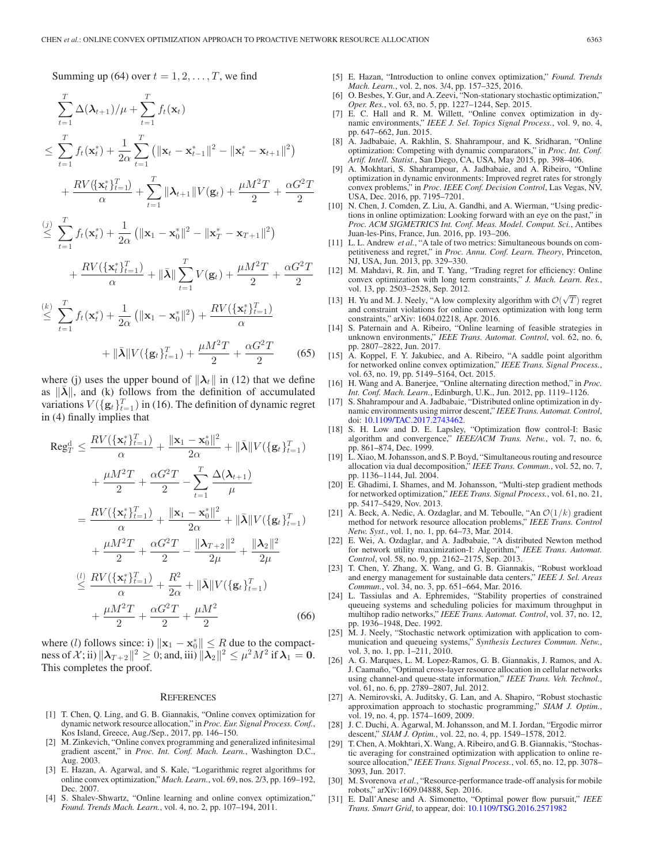Summing up (64) over  $t = 1, 2, \ldots, T$ , we find

$$
\sum_{t=1}^{T} \Delta(\lambda_{t+1})/\mu + \sum_{t=1}^{T} f_t(\mathbf{x}_t)
$$
\n
$$
\leq \sum_{t=1}^{T} f_t(\mathbf{x}_t^*) + \frac{1}{2\alpha} \sum_{t=1}^{T} (||\mathbf{x}_t - \mathbf{x}_{t-1}^*||^2 - ||\mathbf{x}_t^* - \mathbf{x}_{t+1}||^2)
$$
\n
$$
+ \frac{RV(\{\mathbf{x}_t^*\}_{t=1}^{T})}{\alpha} + \sum_{t=1}^{T} ||\lambda_{t+1}||V(\mathbf{g}_t) + \frac{\mu M^2 T}{2} + \frac{\alpha G^2 T}{2}
$$
\n(i)  $\sum_{t=1}^{T} ||\mathbf{x}_t - \mathbf{x}_t||^2$ 

$$
\leq \sum_{t=1}^{T} f_t(\mathbf{x}_t^*) + \frac{1}{2\alpha} \left( \|\mathbf{x}_1 - \mathbf{x}_0^*\|^2 - \|\mathbf{x}_T^* - \mathbf{x}_{T+1}\|^2 \right) + \frac{RV(\{\mathbf{x}_t^*\}_{t=1}^T)}{\alpha} + \|\bar{\boldsymbol{\lambda}}\| \sum_{t=1}^{T} V(\mathbf{g}_t) + \frac{\mu M^2 T}{2} + \frac{\alpha G^2 T}{2}
$$

$$
\alpha \qquad \qquad \alpha \qquad \qquad 2 \qquad 2
$$
\n
$$
\leq \sum_{t=1}^{T} f_t(\mathbf{x}_t^*) + \frac{1}{2\alpha} \left( \|\mathbf{x}_1 - \mathbf{x}_0^*\|^2 \right) + \frac{RV(\{\mathbf{x}_t^*\}_{t=1}^T)}{\alpha}
$$

$$
+ \|\bar{\lambda}\| V(\{\mathbf{g}_t\}_{t=1}^T) + \frac{\mu M^2 T}{2} + \frac{\alpha G^2 T}{2} \tag{65}
$$

where (j) uses the upper bound of  $\|\lambda_t\|$  in (12) that we define as  $||\lambda||$ , and (k) follows from the definition of accumulated variations  $V(\{g_t\}_{t=1}^T)$  in (16). The definition of dynamic regret<br>in (4) finally implies that in (4) finally implies that

$$
\operatorname{Reg}_{T}^{d} \leq \frac{RV(\{\mathbf{x}_{t}^{*}\}_{t=1}^{T})}{\alpha} + \frac{\|\mathbf{x}_{1} - \mathbf{x}_{0}^{*}\|^{2}}{2\alpha} + \|\bar{\lambda}\|V(\{\mathbf{g}_{t}\}_{t=1}^{T})
$$

$$
+ \frac{\mu M^{2}T}{2} + \frac{\alpha G^{2}T}{2} - \sum_{t=1}^{T} \frac{\Delta(\lambda_{t+1})}{\mu}
$$

$$
= \frac{RV(\{\mathbf{x}_{t}^{*}\}_{t=1}^{T})}{\alpha} + \frac{\|\mathbf{x}_{1} - \mathbf{x}_{0}^{*}\|^{2}}{2\alpha} + \|\bar{\lambda}\|V(\{\mathbf{g}_{t}\}_{t=1}^{T})
$$

$$
+ \frac{\mu M^{2}T}{2} + \frac{\alpha G^{2}T}{2} - \frac{\|\lambda_{T+2}\|^{2}}{2\mu} + \frac{\|\lambda_{2}\|^{2}}{2\mu}
$$

$$
\leq \frac{RV(\{\mathbf{x}_{t}^{*}\}_{t=1}^{T})}{\alpha} + \frac{R^{2}}{2\alpha} + \|\bar{\lambda}\|V(\{\mathbf{g}_{t}\}_{t=1}^{T})
$$

$$
+ \frac{\mu M^{2}T}{2} + \frac{\alpha G^{2}T}{2} + \frac{\mu M^{2}}{2}
$$
(66)

where (l) follows since: i)  $\|\mathbf{x}_1 - \mathbf{x}_0^*\| \le R$  due to the compact-<br>ness of  $\mathcal{X}$ ; ii)  $\|\mathbf{\lambda}_{\text{max}}\|^2 > 0$ ; and iii)  $\|\mathbf{\lambda}_0\|^2 \le \mu^2 M^2$  if  $\mathbf{\lambda}_1 = 0$ . ness of  $\mathcal{X}$ ; ii)  $\|\lambda_{T+2}\|^2 \geq 0$ ; and, iii)  $\|\lambda_2\|^2 \leq \mu^2 M^2$  if  $\lambda_1 = 0$ . This completes the proof.

#### **REFERENCES**

- [1] T. Chen, Q. Ling, and G. B. Giannakis, "Online convex optimization for dynamic network resource allocation," in *Proc. Eur. Signal Process. Conf.*, Kos Island, Greece, Aug./Sep., 2017, pp. 146–150.
- [2] M. Zinkevich, "Online convex programming and generalized infinitesimal gradient ascent," in *Proc. Int. Conf. Mach. Learn.*, Washington D.C., Aug. 2003.
- [3] E. Hazan, A. Agarwal, and S. Kale, "Logarithmic regret algorithms for online convex optimization," *Mach. Learn.*, vol. 69, nos. 2/3, pp. 169–192, Dec. 2007.
- [4] S. Shalev-Shwartz, "Online learning and online convex optimization," *Found. Trends Mach. Learn.*, vol. 4, no. 2, pp. 107–194, 2011.
- [5] E. Hazan, "Introduction to online convex optimization," *Found. Trends Mach. Learn.*, vol. 2, nos. 3/4, pp. 157–325, 2016.
- [6] O. Besbes, Y. Gur, and A. Zeevi, "Non-stationary stochastic optimization," *Oper. Res.*, vol. 63, no. 5, pp. 1227–1244, Sep. 2015.
- [7] E. C. Hall and R. M. Willett, "Online convex optimization in dynamic environments," *IEEE J. Sel. Topics Signal Process.*, vol. 9, no. 4, pp. 647–662, Jun. 2015.
- [8] A. Jadbabaie, A. Rakhlin, S. Shahrampour, and K. Sridharan, "Online optimization: Competing with dynamic comparators," in *Proc. Int. Conf. Artif. Intell. Statist.*, San Diego, CA, USA, May 2015, pp. 398–406.
- [9] A. Mokhtari, S. Shahrampour, A. Jadbabaie, and A. Ribeiro, "Online optimization in dynamic environments: Improved regret rates for strongly convex problems," in *Proc. IEEE Conf. Decision Control*, Las Vegas, NV, USA, Dec. 2016, pp. 7195–7201.
- [10] N. Chen, J. Comden, Z. Liu, A. Gandhi, and A. Wierman, "Using predictions in online optimization: Looking forward with an eye on the past," in *Proc. ACM SIGMETRICS Int. Conf. Meas. Model. Comput. Sci.*, Antibes Juan-les-Pins, France, Jun. 2016, pp. 193–206.
- [11] L. L. Andrew *et al.*, "A tale of two metrics: Simultaneous bounds on competitiveness and regret," in *Proc. Annu. Conf. Learn. Theory*, Princeton, NJ, USA, Jun. 2013, pp. 329–330.
- [12] M. Mahdavi, R. Jin, and T. Yang, "Trading regret for efficiency: Online convex optimization with long term constraints," *J. Mach. Learn. Res.*, vol. 13, pp. 2503–2528, Sep. 2012.
- vol. 15, pp. 2505–2526, sep. 2012.<br>[13] H. Yu and M. J. Neely, "A low complexity algorithm with  $\mathcal{O}(\sqrt{T})$  regret and constraint violations for online convex optimization with long term constraints," arXiv: 1604.02218, Apr. 2016.
- [14] S. Paternain and A. Ribeiro, "Online learning of feasible strategies in unknown environments," *IEEE Trans. Automat. Control*, vol. 62, no. 6, pp. 2807–2822, Jun. 2017.
- [15] A. Koppel, F. Y. Jakubiec, and A. Ribeiro, "A saddle point algorithm for networked online convex optimization," *IEEE Trans. Signal Process.*, vol. 63, no. 19, pp. 5149–5164, Oct. 2015.
- [16] H. Wang and A. Banerjee, "Online alternating direction method," in *Proc. Int. Conf. Mach. Learn.*, Edinburgh, U.K., Jun. 2012, pp. 1119–1126.
- [17] S. Shahrampour and A. Jadbabaie, "Distributed online optimization in dynamic environments using mirror descent," *IEEE Trans. Automat. Control*, doi: [10.1109/TAC.2017.2743462.](http://dx.doi.org/10.1109/TAC.2017.2743462)
- [18] S. H. Low and D. E. Lapsley, "Optimization flow control-I: Basic algorithm and convergence," *IEEE/ACM Trans. Netw.*, vol. 7, no. 6, pp. 861–874, Dec. 1999.
- [19] L. Xiao, M. Johansson, and S. P. Boyd, "Simultaneous routing and resource allocation via dual decomposition," *IEEE Trans. Commun.*, vol. 52, no. 7, pp. 1136–1144, Jul. 2004.
- [20] E. Ghadimi, I. Shames, and M. Johansson, "Multi-step gradient methods for networked optimization," *IEEE Trans. Signal Process.*, vol. 61, no. 21, pp. 5417–5429, Nov. 2013.
- [21] A. Beck, A. Nedic, A. Ozdaglar, and M. Teboulle, "An  $\mathcal{O}(1/k)$  gradient method for network resource allocation problems," *IEEE Trans. Control Netw. Syst.*, vol. 1, no. 1, pp. 64–73, Mar. 2014.
- [22] E. Wei, A. Ozdaglar, and A. Jadbabaie, "A distributed Newton method for network utility maximization-I: Algorithm," *IEEE Trans. Automat. Control*, vol. 58, no. 9, pp. 2162–2175, Sep. 2013.
- [23] T. Chen, Y. Zhang, X. Wang, and G. B. Giannakis, "Robust workload and energy management for sustainable data centers," *IEEE J. Sel. Areas Commun.*, vol. 34, no. 3, pp. 651–664, Mar. 2016.
- [24] L. Tassiulas and A. Ephremides, "Stability properties of constrained queueing systems and scheduling policies for maximum throughput in multihop radio networks," *IEEE Trans. Automat. Control*, vol. 37, no. 12, pp. 1936–1948, Dec. 1992.
- [25] M. J. Neely, "Stochastic network optimization with application to communication and queueing systems," *Synthesis Lectures Commun. Netw.*, vol. 3, no. 1, pp. 1-211, 2010.
- [26] A. G. Marques, L. M. Lopez-Ramos, G. B. Giannakis, J. Ramos, and A. J. Caamaño, "Optimal cross-layer resource allocation in cellular networks using channel-and queue-state information," *IEEE Trans. Veh. Technol.*, vol. 61, no. 6, pp. 2789–2807, Jul. 2012.
- [27] A. Nemirovski, A. Juditsky, G. Lan, and A. Shapiro, "Robust stochastic approximation approach to stochastic programming," *SIAM J. Optim.*, vol. 19, no. 4, pp. 1574–1609, 2009.
- [28] J. C. Duchi, A. Agarwal, M. Johansson, and M. I. Jordan, "Ergodic mirror descent," *SIAM J. Optim.*, vol. 22, no. 4, pp. 1549–1578, 2012.
- [29] T. Chen, A. Mokhtari, X.Wang, A. Ribeiro, and G. B. Giannakis, "Stochastic averaging for constrained optimization with application to online resource allocation," *IEEE Trans. Signal Process.*, vol. 65, no. 12, pp. 3078– 3093, Jun. 2017.
- [30] M. Svorenova et al., "Resource-performance trade-off analysis for mobile robots," arXiv:1609.04888, Sep. 2016.
- [31] E. Dall'Anese and A. Simonetto, "Optimal power flow pursuit," *IEEE Trans. Smart Grid*, to appear, doi: [10.1109/TSG.2016.2571982](http://dx.doi.org/10.1109/TSG.2016.2571982)